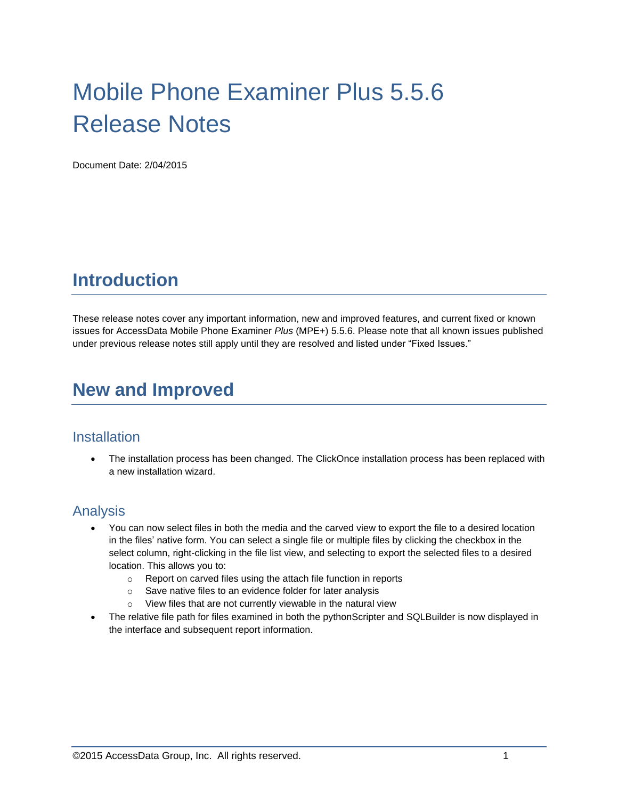# Mobile Phone Examiner Plus 5.5.6 Release Notes

Document Date: 2/04/2015

# **Introduction**

These release notes cover any important information, new and improved features, and current fixed or known issues for AccessData Mobile Phone Examiner *Plus* (MPE+) 5.5.6. Please note that all known issues published under previous release notes still apply until they are resolved and listed under "Fixed Issues."

# **New and Improved**

#### **Installation**

• The installation process has been changed. The ClickOnce installation process has been replaced with a new installation wizard.

## Analysis

- You can now select files in both the media and the carved view to export the file to a desired location in the files' native form. You can select a single file or multiple files by clicking the checkbox in the select column, right-clicking in the file list view, and selecting to export the selected files to a desired location. This allows you to:
	- o Report on carved files using the attach file function in reports
	- o Save native files to an evidence folder for later analysis
	- o View files that are not currently viewable in the natural view
- The relative file path for files examined in both the pythonScripter and SQLBuilder is now displayed in the interface and subsequent report information.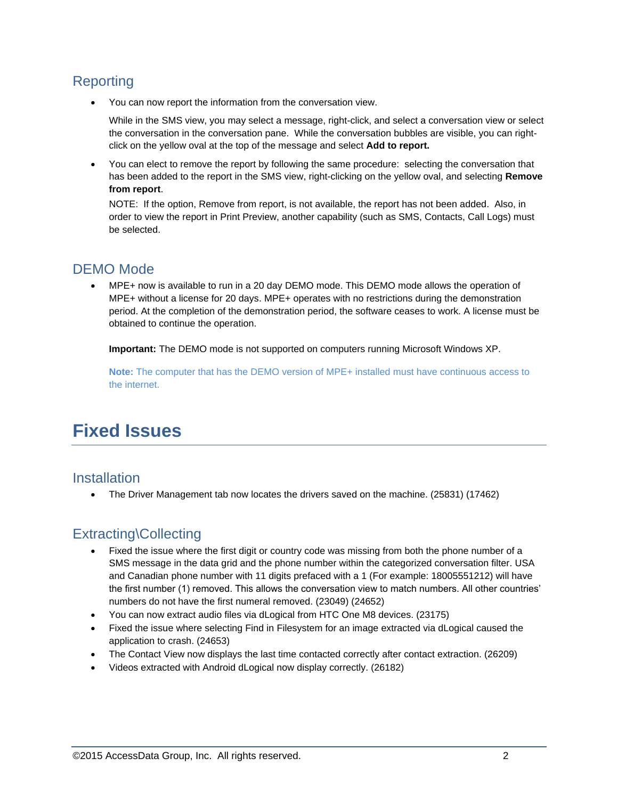## **Reporting**

You can now report the information from the conversation view.

While in the SMS view, you may select a message, right-click, and select a conversation view or select the conversation in the conversation pane. While the conversation bubbles are visible, you can rightclick on the yellow oval at the top of the message and select **Add to report.** 

 You can elect to remove the report by following the same procedure: selecting the conversation that has been added to the report in the SMS view, right-clicking on the yellow oval, and selecting **Remove from report**.

NOTE: If the option, Remove from report, is not available, the report has not been added. Also, in order to view the report in Print Preview, another capability (such as SMS, Contacts, Call Logs) must be selected.

## DEMO Mode

 MPE+ now is available to run in a 20 day DEMO mode. This DEMO mode allows the operation of MPE+ without a license for 20 days. MPE+ operates with no restrictions during the demonstration period. At the completion of the demonstration period, the software ceases to work. A license must be obtained to continue the operation.

**Important:** The DEMO mode is not supported on computers running Microsoft Windows XP.

**Note:** The computer that has the DEMO version of MPE+ installed must have continuous access to the internet.

# **Fixed Issues**

#### **Installation**

The Driver Management tab now locates the drivers saved on the machine. (25831) (17462)

## Extracting\Collecting

- Fixed the issue where the first digit or country code was missing from both the phone number of a SMS message in the data grid and the phone number within the categorized conversation filter. USA and Canadian phone number with 11 digits prefaced with a 1 (For example: 18005551212) will have the first number (1) removed. This allows the conversation view to match numbers. All other countries' numbers do not have the first numeral removed. (23049) (24652)
- You can now extract audio files via dLogical from HTC One M8 devices. (23175)
- Fixed the issue where selecting Find in Filesystem for an image extracted via dLogical caused the application to crash. (24653)
- The Contact View now displays the last time contacted correctly after contact extraction. (26209)
- Videos extracted with Android dLogical now display correctly. (26182)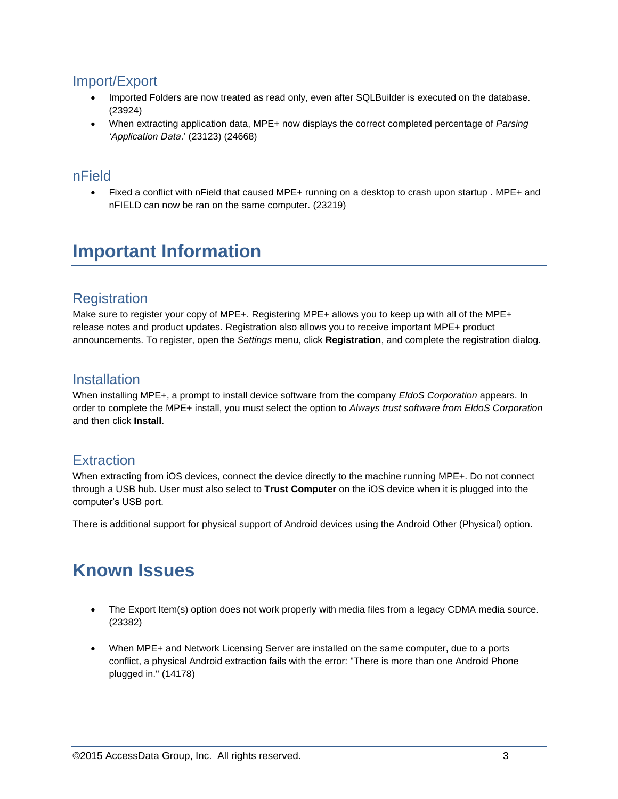### Import/Export

- Imported Folders are now treated as read only, even after SQLBuilder is executed on the database. (23924)
- When extracting application data, MPE+ now displays the correct completed percentage of *Parsing 'Application Data*.' (23123) (24668)

#### nField

• Fixed a conflict with nField that caused MPE+ running on a desktop to crash upon startup . MPE+ and nFIELD can now be ran on the same computer. (23219)

# **Important Information**

### **Registration**

Make sure to register your copy of MPE+. Registering MPE+ allows you to keep up with all of the MPE+ release notes and product updates. Registration also allows you to receive important MPE+ product announcements. To register, open the *Settings* menu, click **Registration**, and complete the registration dialog.

### **Installation**

When installing MPE+, a prompt to install device software from the company *EldoS Corporation* appears. In order to complete the MPE+ install, you must select the option to *Always trust software from EldoS Corporation* and then click **Install**.

### **Extraction**

When extracting from iOS devices, connect the device directly to the machine running MPE+. Do not connect through a USB hub. User must also select to **Trust Computer** on the iOS device when it is plugged into the computer's USB port.

There is additional support for physical support of Android devices using the Android Other (Physical) option.

# **Known Issues**

- The Export Item(s) option does not work properly with media files from a legacy CDMA media source. (23382)
- When MPE+ and Network Licensing Server are installed on the same computer, due to a ports conflict, a physical Android extraction fails with the error: "There is more than one Android Phone plugged in." (14178)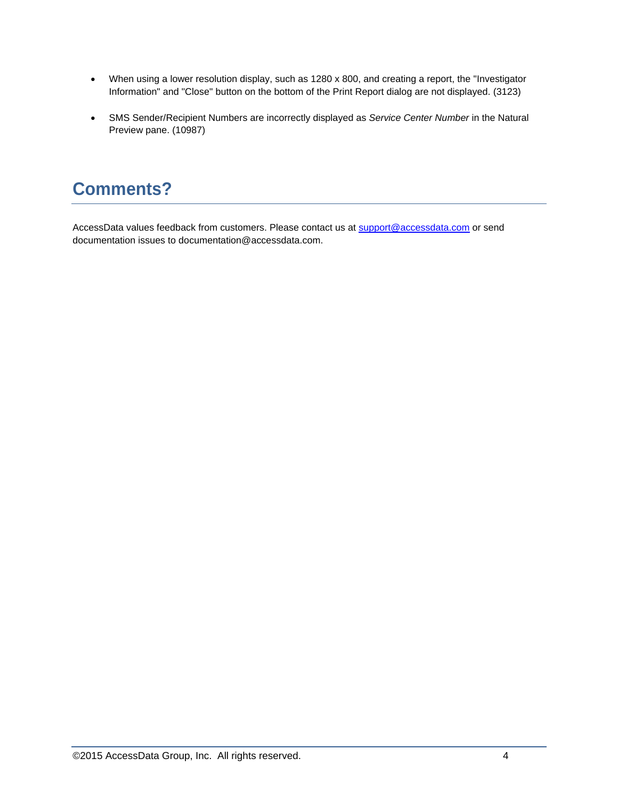- When using a lower resolution display, such as 1280 x 800, and creating a report, the "Investigator Information" and "Close" button on the bottom of the Print Report dialog are not displayed. (3123)
- SMS Sender/Recipient Numbers are incorrectly displayed as *Service Center Number* in the Natural Preview pane. (10987)

# **Comments?**

AccessData values feedback from customers. Please contact us at [support@accessdata.com](mailto:support@accessdata.com) or send documentation issues to documentation@accessdata.com.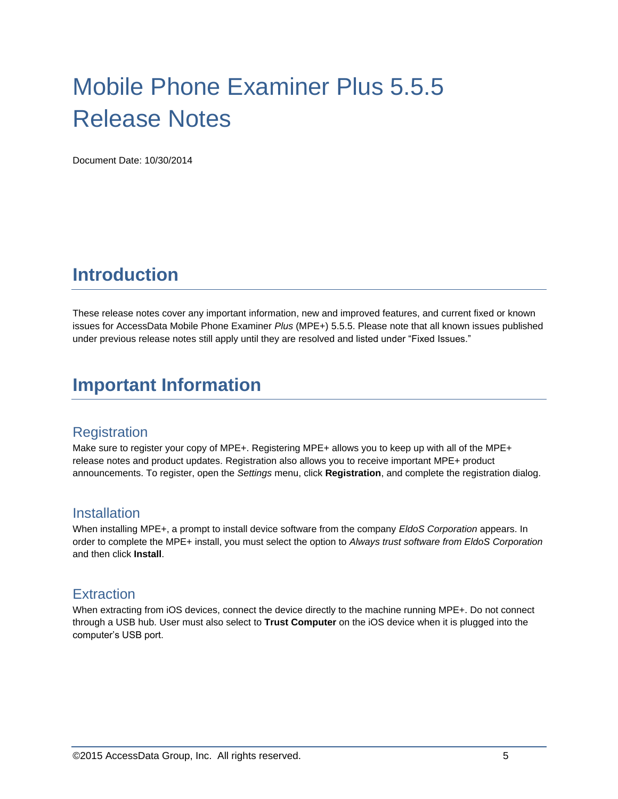# Mobile Phone Examiner Plus 5.5.5 Release Notes

Document Date: 10/30/2014

# **Introduction**

These release notes cover any important information, new and improved features, and current fixed or known issues for AccessData Mobile Phone Examiner *Plus* (MPE+) 5.5.5. Please note that all known issues published under previous release notes still apply until they are resolved and listed under "Fixed Issues."

# **Important Information**

### **Registration**

Make sure to register your copy of MPE+. Registering MPE+ allows you to keep up with all of the MPE+ release notes and product updates. Registration also allows you to receive important MPE+ product announcements. To register, open the *Settings* menu, click **Registration**, and complete the registration dialog.

#### **Installation**

When installing MPE+, a prompt to install device software from the company *EldoS Corporation* appears. In order to complete the MPE+ install, you must select the option to *Always trust software from EldoS Corporation* and then click **Install**.

#### **Extraction**

When extracting from iOS devices, connect the device directly to the machine running MPE+. Do not connect through a USB hub. User must also select to **Trust Computer** on the iOS device when it is plugged into the computer's USB port.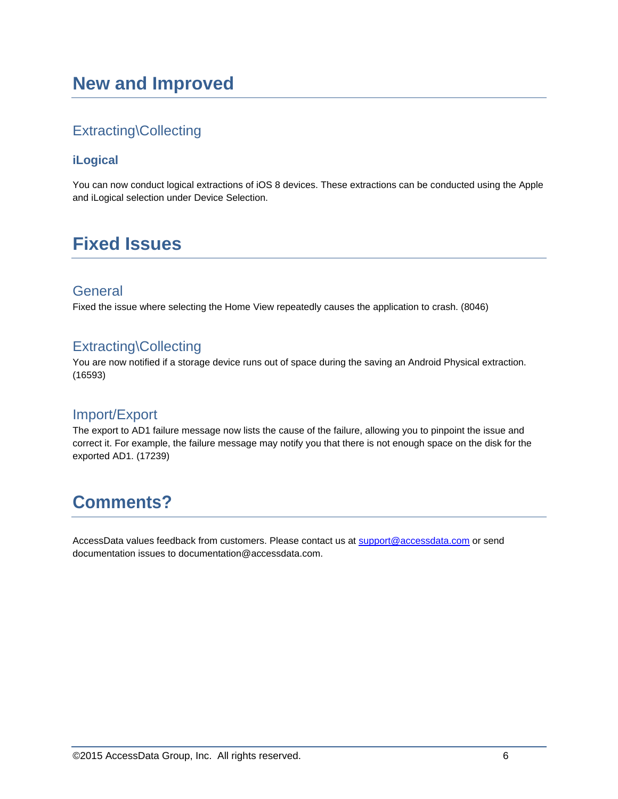# **New and Improved**

## Extracting\Collecting

#### **iLogical**

You can now conduct logical extractions of iOS 8 devices. These extractions can be conducted using the Apple and iLogical selection under Device Selection.

# **Fixed Issues**

### **General**

Fixed the issue where selecting the Home View repeatedly causes the application to crash. (8046)

### Extracting\Collecting

You are now notified if a storage device runs out of space during the saving an Android Physical extraction. (16593)

### Import/Export

The export to AD1 failure message now lists the cause of the failure, allowing you to pinpoint the issue and correct it. For example, the failure message may notify you that there is not enough space on the disk for the exported AD1. (17239)

# **Comments?**

AccessData values feedback from customers. Please contact us at [support@accessdata.com](mailto:support@accessdata.com) or send documentation issues to documentation@accessdata.com.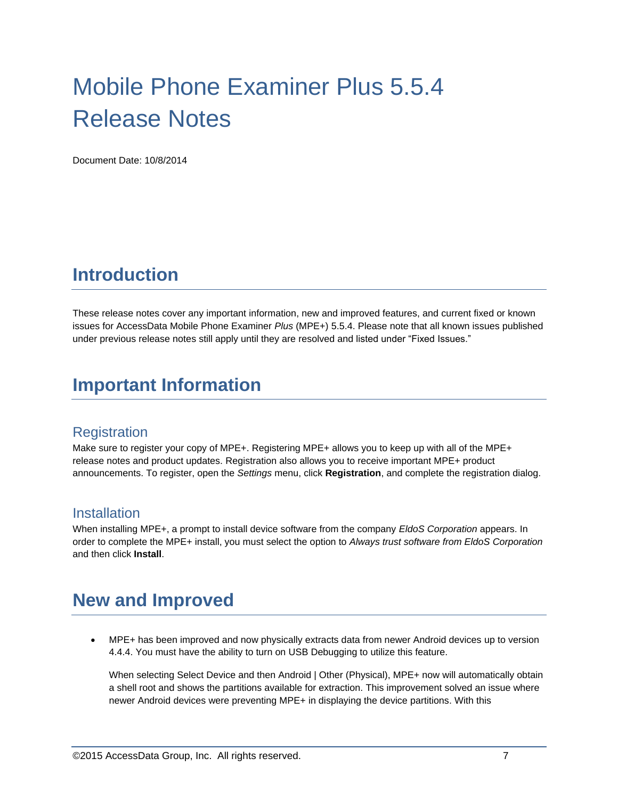# Mobile Phone Examiner Plus 5.5.4 Release Notes

Document Date: 10/8/2014

# **Introduction**

These release notes cover any important information, new and improved features, and current fixed or known issues for AccessData Mobile Phone Examiner *Plus* (MPE+) 5.5.4. Please note that all known issues published under previous release notes still apply until they are resolved and listed under "Fixed Issues."

# **Important Information**

### **Registration**

Make sure to register your copy of MPE+. Registering MPE+ allows you to keep up with all of the MPE+ release notes and product updates. Registration also allows you to receive important MPE+ product announcements. To register, open the *Settings* menu, click **Registration**, and complete the registration dialog.

#### **Installation**

When installing MPE+, a prompt to install device software from the company *EldoS Corporation* appears. In order to complete the MPE+ install, you must select the option to *Always trust software from EldoS Corporation* and then click **Install**.

# **New and Improved**

 MPE+ has been improved and now physically extracts data from newer Android devices up to version 4.4.4. You must have the ability to turn on USB Debugging to utilize this feature.

When selecting Select Device and then Android | Other (Physical), MPE+ now will automatically obtain a shell root and shows the partitions available for extraction. This improvement solved an issue where newer Android devices were preventing MPE+ in displaying the device partitions. With this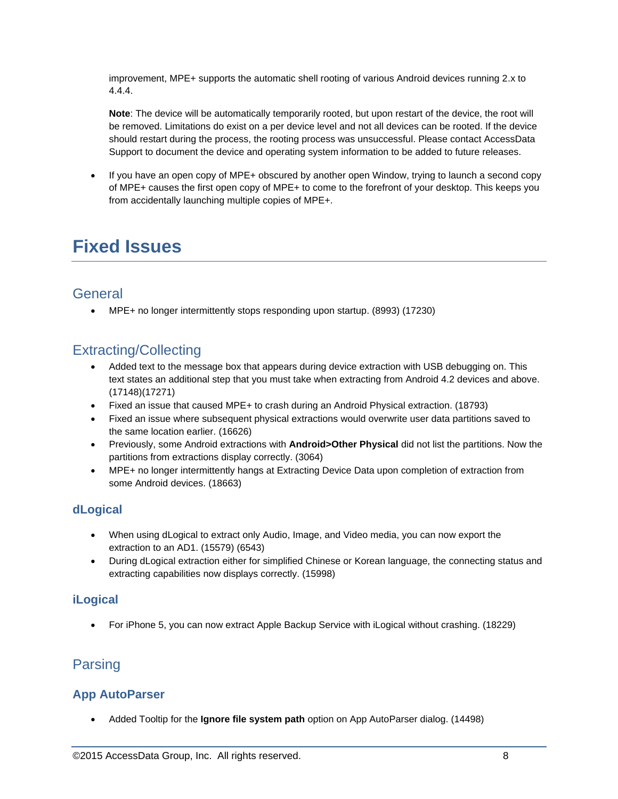improvement, MPE+ supports the automatic shell rooting of various Android devices running 2.x to 4.4.4.

**Note**: The device will be automatically temporarily rooted, but upon restart of the device, the root will be removed. Limitations do exist on a per device level and not all devices can be rooted. If the device should restart during the process, the rooting process was unsuccessful. Please contact AccessData Support to document the device and operating system information to be added to future releases.

 If you have an open copy of MPE+ obscured by another open Window, trying to launch a second copy of MPE+ causes the first open copy of MPE+ to come to the forefront of your desktop. This keeps you from accidentally launching multiple copies of MPE+.

# **Fixed Issues**

### **General**

MPE+ no longer intermittently stops responding upon startup. (8993) (17230)

## Extracting/Collecting

- Added text to the message box that appears during device extraction with USB debugging on. This text states an additional step that you must take when extracting from Android 4.2 devices and above. (17148)(17271)
- Fixed an issue that caused MPE+ to crash during an Android Physical extraction. (18793)
- Fixed an issue where subsequent physical extractions would overwrite user data partitions saved to the same location earlier. (16626)
- Previously, some Android extractions with **Android>Other Physical** did not list the partitions. Now the partitions from extractions display correctly. (3064)
- MPE+ no longer intermittently hangs at Extracting Device Data upon completion of extraction from some Android devices. (18663)

#### **dLogical**

- When using dLogical to extract only Audio, Image, and Video media, you can now export the extraction to an AD1. (15579) (6543)
- During dLogical extraction either for simplified Chinese or Korean language, the connecting status and extracting capabilities now displays correctly. (15998)

#### **iLogical**

For iPhone 5, you can now extract Apple Backup Service with iLogical without crashing. (18229)

### Parsing

#### **App AutoParser**

Added Tooltip for the **Ignore file system path** option on App AutoParser dialog. (14498)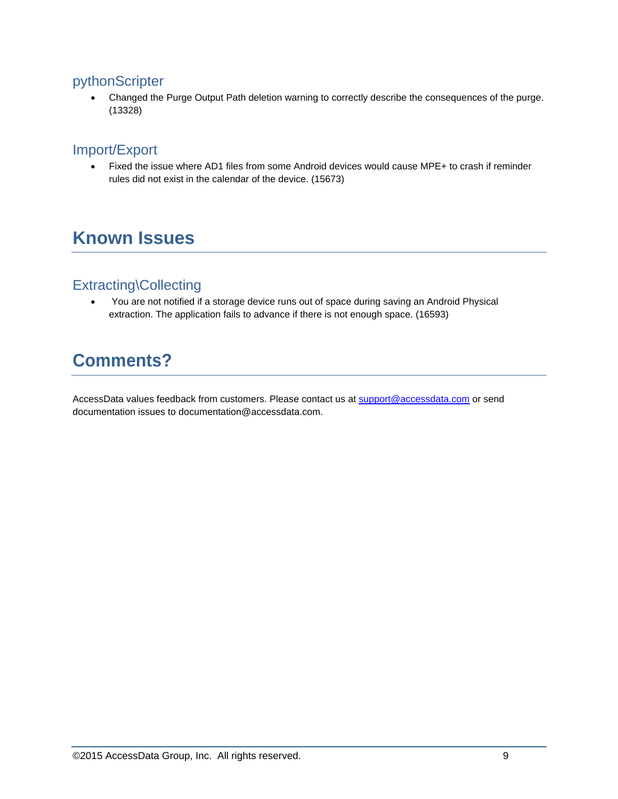### pythonScripter

• Changed the Purge Output Path deletion warning to correctly describe the consequences of the purge. (13328)

### Import/Export

 Fixed the issue where AD1 files from some Android devices would cause MPE+ to crash if reminder rules did not exist in the calendar of the device. (15673)

# **Known Issues**

### Extracting\Collecting

 You are not notified if a storage device runs out of space during saving an Android Physical extraction. The application fails to advance if there is not enough space. (16593)

# **Comments?**

AccessData values feedback from customers. Please contact us at [support@accessdata.com](mailto:support@accessdata.com) or send documentation issues to documentation@accessdata.com.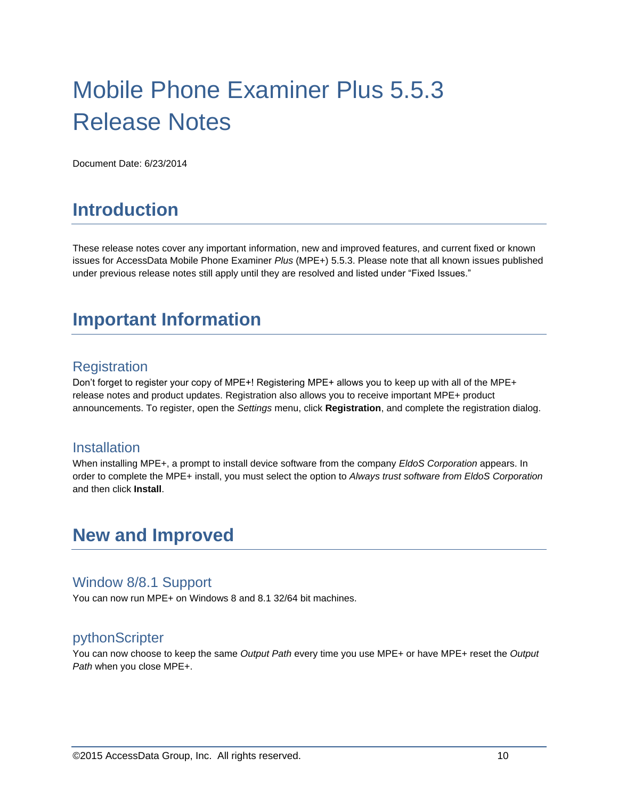# Mobile Phone Examiner Plus 5.5.3 Release Notes

Document Date: 6/23/2014

# **Introduction**

These release notes cover any important information, new and improved features, and current fixed or known issues for AccessData Mobile Phone Examiner *Plus* (MPE+) 5.5.3. Please note that all known issues published under previous release notes still apply until they are resolved and listed under "Fixed Issues."

# **Important Information**

### **Registration**

Don't forget to register your copy of MPE+! Registering MPE+ allows you to keep up with all of the MPE+ release notes and product updates. Registration also allows you to receive important MPE+ product announcements. To register, open the *Settings* menu, click **Registration**, and complete the registration dialog.

#### **Installation**

When installing MPE+, a prompt to install device software from the company *EldoS Corporation* appears. In order to complete the MPE+ install, you must select the option to *Always trust software from EldoS Corporation* and then click **Install**.

# **New and Improved**

#### Window 8/8.1 Support

You can now run MPE+ on Windows 8 and 8.1 32/64 bit machines.

#### pythonScripter

You can now choose to keep the same *Output Path* every time you use MPE+ or have MPE+ reset the *Output Path* when you close MPE+.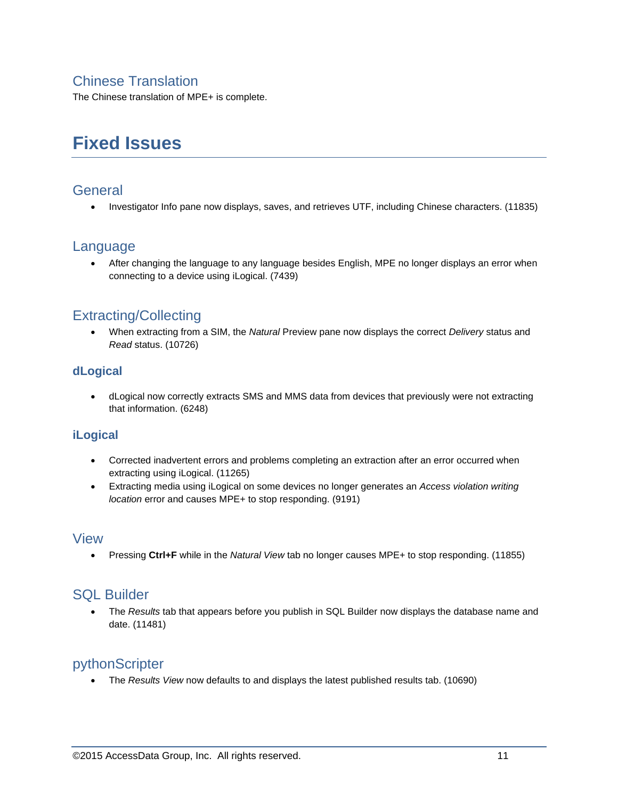### Chinese Translation

The Chinese translation of MPE+ is complete.

# **Fixed Issues**

#### **General**

Investigator Info pane now displays, saves, and retrieves UTF, including Chinese characters. (11835)

#### Language

 After changing the language to any language besides English, MPE no longer displays an error when connecting to a device using iLogical. (7439)

### Extracting/Collecting

 When extracting from a SIM, the *Natural* Preview pane now displays the correct *Delivery* status and *Read* status. (10726)

#### **dLogical**

 dLogical now correctly extracts SMS and MMS data from devices that previously were not extracting that information. (6248)

#### **iLogical**

- Corrected inadvertent errors and problems completing an extraction after an error occurred when extracting using iLogical. (11265)
- Extracting media using iLogical on some devices no longer generates an *Access violation writing location* error and causes MPE+ to stop responding. (9191)

#### View

Pressing **Ctrl+F** while in the *Natural View* tab no longer causes MPE+ to stop responding. (11855)

### SQL Builder

 The *Results* tab that appears before you publish in SQL Builder now displays the database name and date. (11481)

#### pythonScripter

The *Results View* now defaults to and displays the latest published results tab. (10690)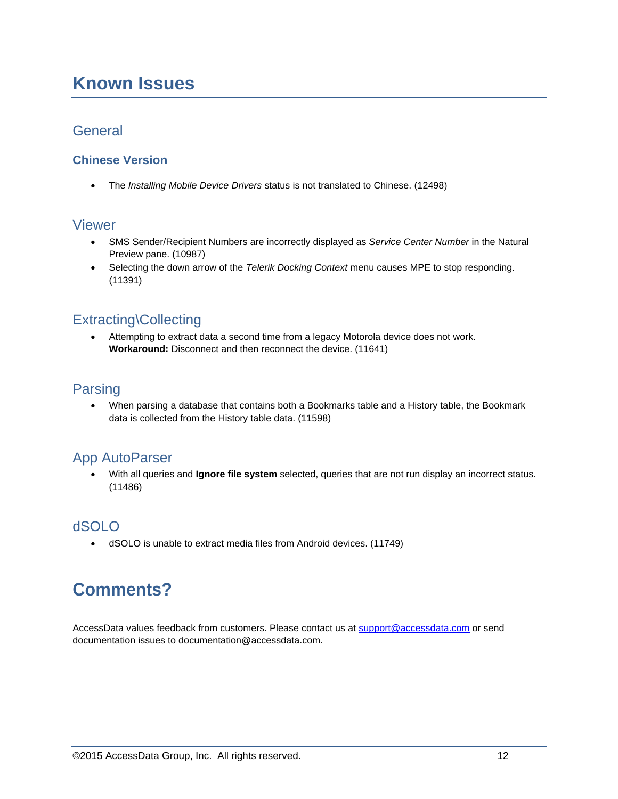# **Known Issues**

#### General

#### **Chinese Version**

The *Installing Mobile Device Drivers* status is not translated to Chinese. (12498)

#### Viewer

- SMS Sender/Recipient Numbers are incorrectly displayed as *Service Center Number* in the Natural Preview pane. (10987)
- Selecting the down arrow of the *Telerik Docking Context* menu causes MPE to stop responding. (11391)

### Extracting\Collecting

 Attempting to extract data a second time from a legacy Motorola device does not work. **Workaround:** Disconnect and then reconnect the device. (11641)

### Parsing

 When parsing a database that contains both a Bookmarks table and a History table, the Bookmark data is collected from the History table data. (11598)

## App AutoParser

 With all queries and **Ignore file system** selected, queries that are not run display an incorrect status. (11486)

### dSOLO

dSOLO is unable to extract media files from Android devices. (11749)

# **Comments?**

AccessData values feedback from customers. Please contact us at [support@accessdata.com](mailto:support@accessdata.com) or send documentation issues to documentation@accessdata.com.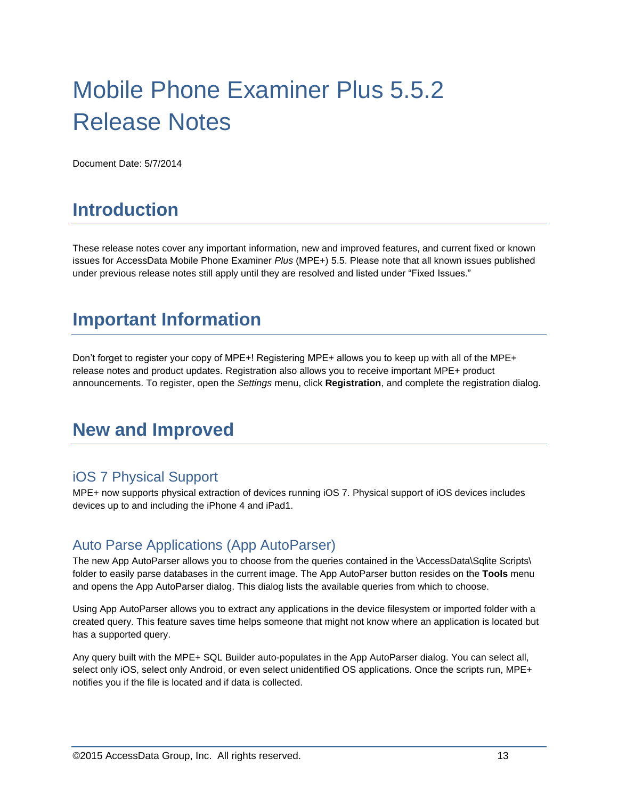# Mobile Phone Examiner Plus 5.5.2 Release Notes

Document Date: 5/7/2014

# **Introduction**

These release notes cover any important information, new and improved features, and current fixed or known issues for AccessData Mobile Phone Examiner *Plus* (MPE+) 5.5. Please note that all known issues published under previous release notes still apply until they are resolved and listed under "Fixed Issues."

# **Important Information**

Don't forget to register your copy of MPE+! Registering MPE+ allows you to keep up with all of the MPE+ release notes and product updates. Registration also allows you to receive important MPE+ product announcements. To register, open the *Settings* menu, click **Registration**, and complete the registration dialog.

# **New and Improved**

### iOS 7 Physical Support

MPE+ now supports physical extraction of devices running iOS 7. Physical support of iOS devices includes devices up to and including the iPhone 4 and iPad1.

## Auto Parse Applications (App AutoParser)

The new App AutoParser allows you to choose from the queries contained in the \AccessData\Sqlite Scripts\ folder to easily parse databases in the current image. The App AutoParser button resides on the **Tools** menu and opens the App AutoParser dialog. This dialog lists the available queries from which to choose.

Using App AutoParser allows you to extract any applications in the device filesystem or imported folder with a created query. This feature saves time helps someone that might not know where an application is located but has a supported query.

Any query built with the MPE+ SQL Builder auto-populates in the App AutoParser dialog. You can select all, select only iOS, select only Android, or even select unidentified OS applications. Once the scripts run, MPE+ notifies you if the file is located and if data is collected.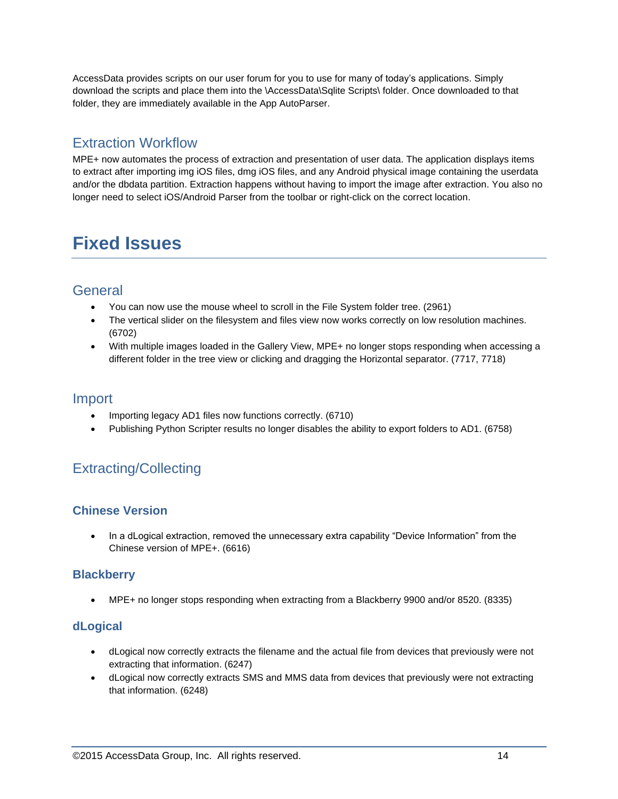AccessData provides scripts on our user forum for you to use for many of today's applications. Simply download the scripts and place them into the \AccessData\Sqlite Scripts\ folder. Once downloaded to that folder, they are immediately available in the App AutoParser.

### Extraction Workflow

MPE+ now automates the process of extraction and presentation of user data. The application displays items to extract after importing img iOS files, dmg iOS files, and any Android physical image containing the userdata and/or the dbdata partition. Extraction happens without having to import the image after extraction. You also no longer need to select iOS/Android Parser from the toolbar or right-click on the correct location.

# **Fixed Issues**

### **General**

- You can now use the mouse wheel to scroll in the File System folder tree. (2961)
- The vertical slider on the filesystem and files view now works correctly on low resolution machines. (6702)
- With multiple images loaded in the Gallery View, MPE+ no longer stops responding when accessing a different folder in the tree view or clicking and dragging the Horizontal separator. (7717, 7718)

#### Import

- Importing legacy AD1 files now functions correctly. (6710)
- Publishing Python Scripter results no longer disables the ability to export folders to AD1. (6758)

# Extracting/Collecting

#### **Chinese Version**

 In a dLogical extraction, removed the unnecessary extra capability "Device Information" from the Chinese version of MPE+. (6616)

#### **Blackberry**

MPE+ no longer stops responding when extracting from a Blackberry 9900 and/or 8520. (8335)

#### **dLogical**

- dLogical now correctly extracts the filename and the actual file from devices that previously were not extracting that information. (6247)
- dLogical now correctly extracts SMS and MMS data from devices that previously were not extracting that information. (6248)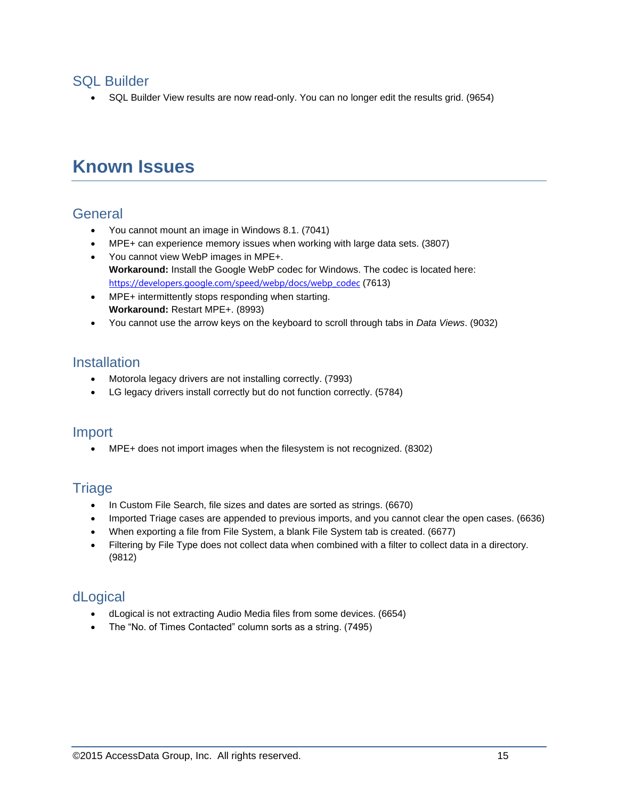#### SQL Builder

SQL Builder View results are now read-only. You can no longer edit the results grid. (9654)

# **Known Issues**

#### **General**

- You cannot mount an image in Windows 8.1. (7041)
- MPE+ can experience memory issues when working with large data sets. (3807)
- You cannot view WebP images in MPE+. **Workaround:** Install the Google WebP codec for Windows. The codec is located here: [https://developers.google.com/speed/webp/docs/webp\\_codec](https://developers.google.com/speed/webp/docs/webp_codec) (7613)
- MPE+ intermittently stops responding when starting. **Workaround:** Restart MPE+. (8993)
- You cannot use the arrow keys on the keyboard to scroll through tabs in *Data Views*. (9032)

### **Installation**

- Motorola legacy drivers are not installing correctly. (7993)
- LG legacy drivers install correctly but do not function correctly. (5784)

#### Import

MPE+ does not import images when the filesystem is not recognized. (8302)

### **Triage**

- In Custom File Search, file sizes and dates are sorted as strings. (6670)
- Imported Triage cases are appended to previous imports, and you cannot clear the open cases. (6636)
- When exporting a file from File System, a blank File System tab is created. (6677)
- Filtering by File Type does not collect data when combined with a filter to collect data in a directory. (9812)

### dLogical

- dLogical is not extracting Audio Media files from some devices. (6654)
- The "No. of Times Contacted" column sorts as a string. (7495)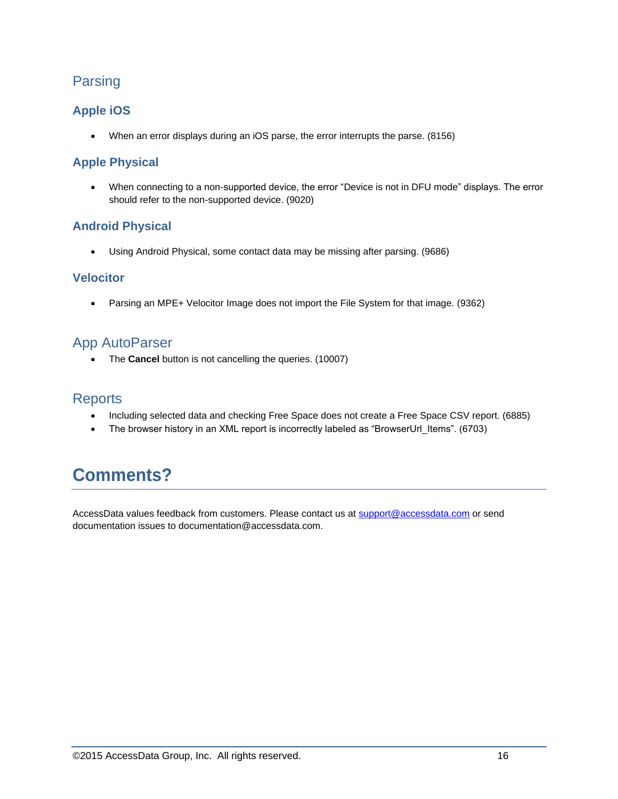### Parsing

#### **Apple iOS**

When an error displays during an iOS parse, the error interrupts the parse. (8156)

### **Apple Physical**

 When connecting to a non-supported device, the error "Device is not in DFU mode" displays. The error should refer to the non-supported device. (9020)

#### **Android Physical**

Using Android Physical, some contact data may be missing after parsing. (9686)

#### **Velocitor**

Parsing an MPE+ Velocitor Image does not import the File System for that image. (9362)

### App AutoParser

The **Cancel** button is not cancelling the queries. (10007)

#### **Reports**

- Including selected data and checking Free Space does not create a Free Space CSV report. (6885)
- The browser history in an XML report is incorrectly labeled as "BrowserUrl Items". (6703)

# **Comments?**

AccessData values feedback from customers. Please contact us at [support@accessdata.com](mailto:support@accessdata.com) or send documentation issues to documentation@accessdata.com.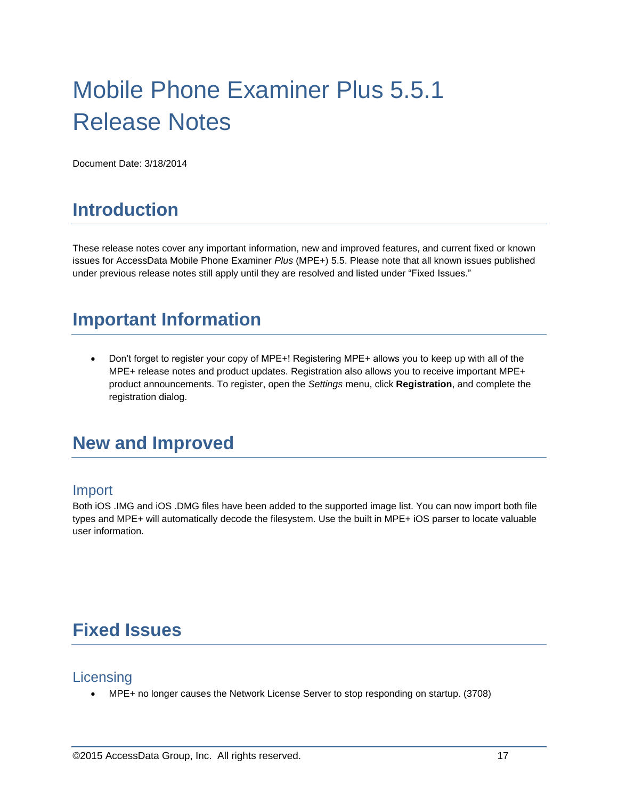# Mobile Phone Examiner Plus 5.5.1 Release Notes

Document Date: 3/18/2014

# **Introduction**

These release notes cover any important information, new and improved features, and current fixed or known issues for AccessData Mobile Phone Examiner *Plus* (MPE+) 5.5. Please note that all known issues published under previous release notes still apply until they are resolved and listed under "Fixed Issues."

# **Important Information**

 Don't forget to register your copy of MPE+! Registering MPE+ allows you to keep up with all of the MPE+ release notes and product updates. Registration also allows you to receive important MPE+ product announcements. To register, open the *Settings* menu, click **Registration**, and complete the registration dialog.

# **New and Improved**

#### Import

Both iOS .IMG and iOS .DMG files have been added to the supported image list. You can now import both file types and MPE+ will automatically decode the filesystem. Use the built in MPE+ iOS parser to locate valuable user information.

# **Fixed Issues**

#### **Licensing**

MPE+ no longer causes the Network License Server to stop responding on startup. (3708)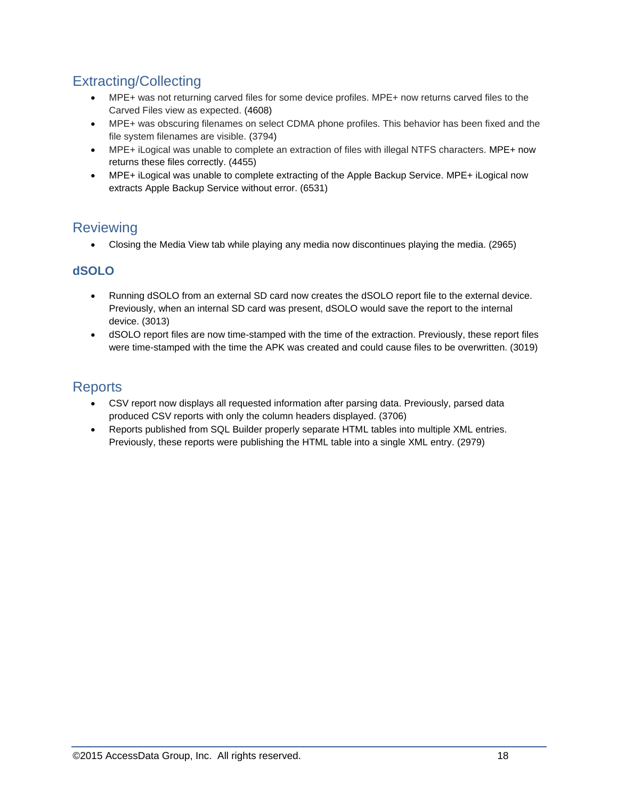## Extracting/Collecting

- MPE+ was not returning carved files for some device profiles. MPE+ now returns carved files to the Carved Files view as expected. (4608)
- MPE+ was obscuring filenames on select CDMA phone profiles. This behavior has been fixed and the file system filenames are visible. (3794)
- MPE+ iLogical was unable to complete an extraction of files with illegal NTFS characters. MPE+ now returns these files correctly. (4455)
- MPE+ iLogical was unable to complete extracting of the Apple Backup Service. MPE+ iLogical now extracts Apple Backup Service without error. (6531)

## **Reviewing**

Closing the Media View tab while playing any media now discontinues playing the media. (2965)

#### **dSOLO**

- Running dSOLO from an external SD card now creates the dSOLO report file to the external device. Previously, when an internal SD card was present, dSOLO would save the report to the internal device. (3013)
- dSOLO report files are now time-stamped with the time of the extraction. Previously, these report files were time-stamped with the time the APK was created and could cause files to be overwritten. (3019)

## **Reports**

- CSV report now displays all requested information after parsing data. Previously, parsed data produced CSV reports with only the column headers displayed. (3706)
- Reports published from SQL Builder properly separate HTML tables into multiple XML entries. Previously, these reports were publishing the HTML table into a single XML entry. (2979)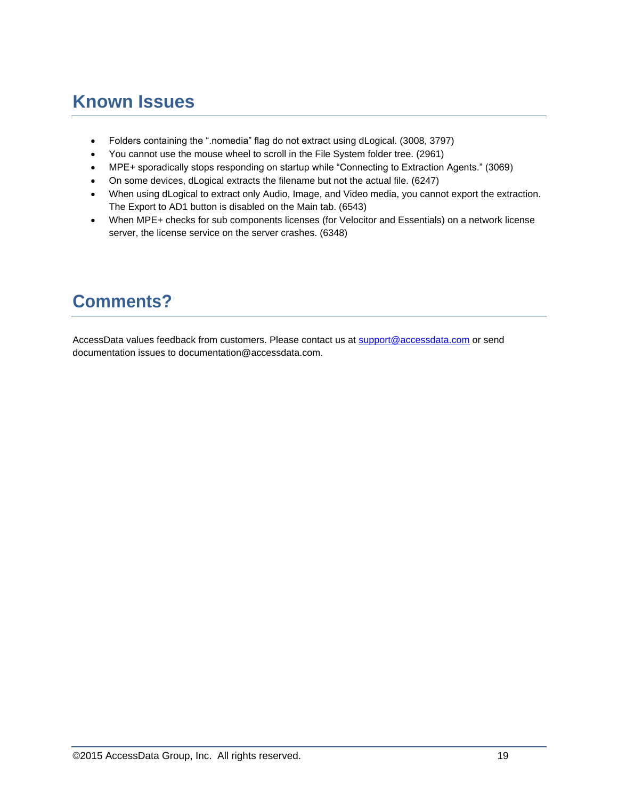# **Known Issues**

- Folders containing the ".nomedia" flag do not extract using dLogical. (3008, 3797)
- You cannot use the mouse wheel to scroll in the File System folder tree. (2961)
- MPE+ sporadically stops responding on startup while "Connecting to Extraction Agents." (3069)
- On some devices, dLogical extracts the filename but not the actual file. (6247)
- When using dLogical to extract only Audio, Image, and Video media, you cannot export the extraction. The Export to AD1 button is disabled on the Main tab. (6543)
- When MPE+ checks for sub components licenses (for Velocitor and Essentials) on a network license server, the license service on the server crashes. (6348)

# **Comments?**

AccessData values feedback from customers. Please contact us at [support@accessdata.com](mailto:support@accessdata.com) or send documentation issues to documentation@accessdata.com.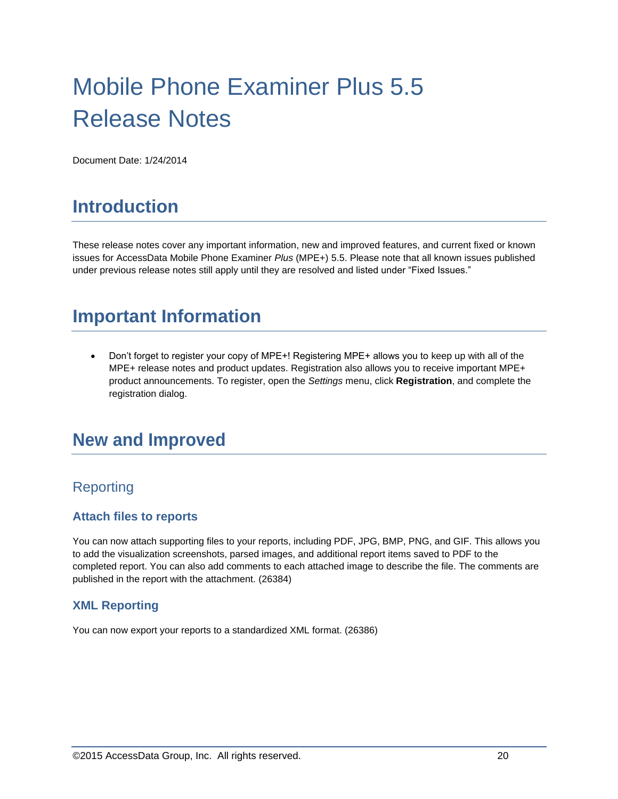# Mobile Phone Examiner Plus 5.5 Release Notes

Document Date: 1/24/2014

# **Introduction**

These release notes cover any important information, new and improved features, and current fixed or known issues for AccessData Mobile Phone Examiner *Plus* (MPE+) 5.5. Please note that all known issues published under previous release notes still apply until they are resolved and listed under "Fixed Issues."

# **Important Information**

 Don't forget to register your copy of MPE+! Registering MPE+ allows you to keep up with all of the MPE+ release notes and product updates. Registration also allows you to receive important MPE+ product announcements. To register, open the *Settings* menu, click **Registration**, and complete the registration dialog.

# **New and Improved**

### Reporting

#### **Attach files to reports**

You can now attach supporting files to your reports, including PDF, JPG, BMP, PNG, and GIF. This allows you to add the visualization screenshots, parsed images, and additional report items saved to PDF to the completed report. You can also add comments to each attached image to describe the file. The comments are published in the report with the attachment. (26384)

#### **XML Reporting**

You can now export your reports to a standardized XML format. (26386)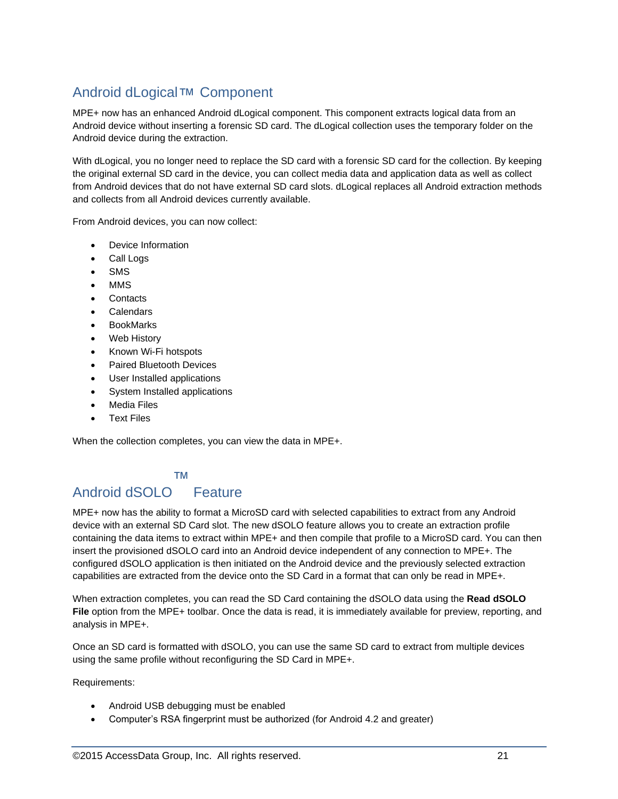# Android dLogical™ Component

MPE+ now has an enhanced Android dLogical component. This component extracts logical data from an Android device without inserting a forensic SD card. The dLogical collection uses the temporary folder on the Android device during the extraction.

With dLogical, you no longer need to replace the SD card with a forensic SD card for the collection. By keeping the original external SD card in the device, you can collect media data and application data as well as collect from Android devices that do not have external SD card slots. dLogical replaces all Android extraction methods and collects from all Android devices currently available.

From Android devices, you can now collect:

- Device Information
- Call Logs
- SMS
- MMS
- **Contacts**
- Calendars
- BookMarks
- Web History
- Known Wi-Fi hotspots
- Paired Bluetooth Devices
- User Installed applications
- System Installed applications
- Media Files
- Text Files

When the collection completes, you can view the data in MPE+.

#### ™

# Android dSOLO Feature

MPE+ now has the ability to format a MicroSD card with selected capabilities to extract from any Android device with an external SD Card slot. The new dSOLO feature allows you to create an extraction profile containing the data items to extract within MPE+ and then compile that profile to a MicroSD card. You can then insert the provisioned dSOLO card into an Android device independent of any connection to MPE+. The configured dSOLO application is then initiated on the Android device and the previously selected extraction capabilities are extracted from the device onto the SD Card in a format that can only be read in MPE+.

When extraction completes, you can read the SD Card containing the dSOLO data using the **Read dSOLO File** option from the MPE+ toolbar. Once the data is read, it is immediately available for preview, reporting, and analysis in MPE+.

Once an SD card is formatted with dSOLO, you can use the same SD card to extract from multiple devices using the same profile without reconfiguring the SD Card in MPE+.

Requirements:

- Android USB debugging must be enabled
- Computer's RSA fingerprint must be authorized (for Android 4.2 and greater)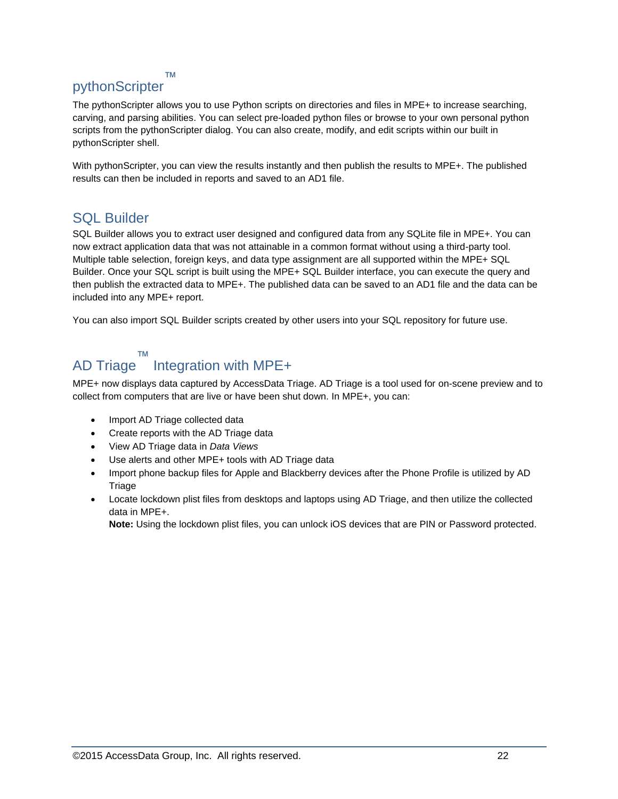#### ™

### pythonScripter

The pythonScripter allows you to use Python scripts on directories and files in MPE+ to increase searching, carving, and parsing abilities. You can select pre-loaded python files or browse to your own personal python scripts from the pythonScripter dialog. You can also create, modify, and edit scripts within our built in pythonScripter shell.

With pythonScripter, you can view the results instantly and then publish the results to MPE+. The published results can then be included in reports and saved to an AD1 file.

#### SQL Builder

SQL Builder allows you to extract user designed and configured data from any SQLite file in MPE+. You can now extract application data that was not attainable in a common format without using a third-party tool. Multiple table selection, foreign keys, and data type assignment are all supported within the MPE+ SQL Builder. Once your SQL script is built using the MPE+ SQL Builder interface, you can execute the query and then publish the extracted data to MPE+. The published data can be saved to an AD1 file and the data can be included into any MPE+ report.

You can also import SQL Builder scripts created by other users into your SQL repository for future use.

#### ™

#### AD Triage Integration with MPE+

MPE+ now displays data captured by AccessData Triage. AD Triage is a tool used for on-scene preview and to collect from computers that are live or have been shut down. In MPE+, you can:

- Import AD Triage collected data
- Create reports with the AD Triage data
- View AD Triage data in *Data Views*
- Use alerts and other MPE+ tools with AD Triage data
- Import phone backup files for Apple and Blackberry devices after the Phone Profile is utilized by AD **Triage**
- Locate lockdown plist files from desktops and laptops using AD Triage, and then utilize the collected data in MPE+.

**Note:** Using the lockdown plist files, you can unlock iOS devices that are PIN or Password protected.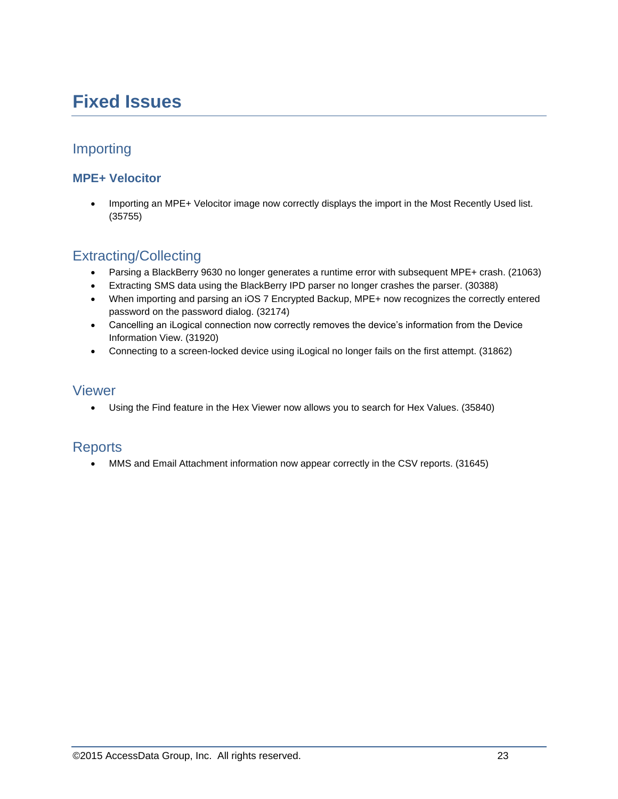# **Fixed Issues**

## Importing

#### **MPE+ Velocitor**

• Importing an MPE+ Velocitor image now correctly displays the import in the Most Recently Used list. (35755)

### Extracting/Collecting

- Parsing a BlackBerry 9630 no longer generates a runtime error with subsequent MPE+ crash. (21063)
- Extracting SMS data using the BlackBerry IPD parser no longer crashes the parser. (30388)
- When importing and parsing an iOS 7 Encrypted Backup, MPE+ now recognizes the correctly entered password on the password dialog. (32174)
- Cancelling an iLogical connection now correctly removes the device's information from the Device Information View. (31920)
- Connecting to a screen-locked device using iLogical no longer fails on the first attempt. (31862)

#### Viewer

Using the Find feature in the Hex Viewer now allows you to search for Hex Values. (35840)

#### **Reports**

MMS and Email Attachment information now appear correctly in the CSV reports. (31645)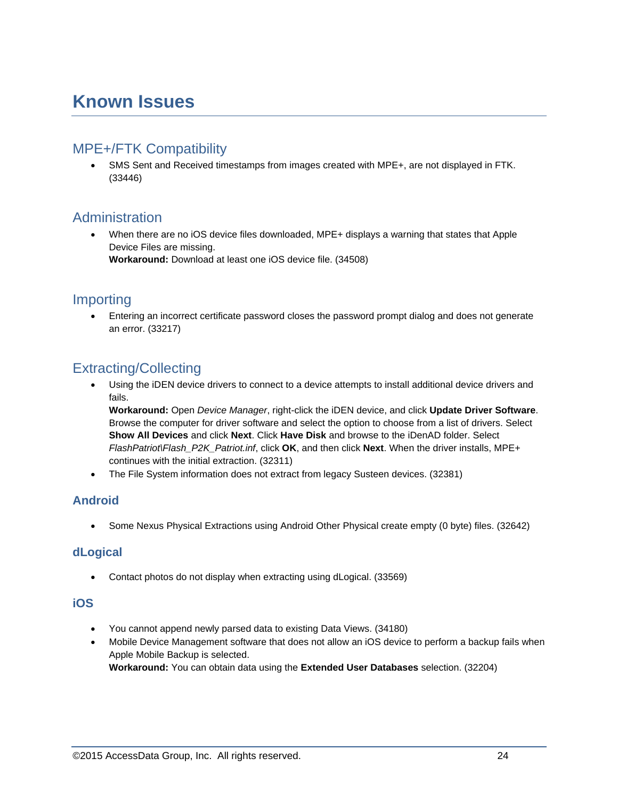# **Known Issues**

### MPE+/FTK Compatibility

 SMS Sent and Received timestamps from images created with MPE+, are not displayed in FTK. (33446)

### Administration

 When there are no iOS device files downloaded, MPE+ displays a warning that states that Apple Device Files are missing. **Workaround:** Download at least one iOS device file. (34508)

### Importing

 Entering an incorrect certificate password closes the password prompt dialog and does not generate an error. (33217)

### Extracting/Collecting

 Using the iDEN device drivers to connect to a device attempts to install additional device drivers and fails.

**Workaround:** Open *Device Manager*, right-click the iDEN device, and click **Update Driver Software**. Browse the computer for driver software and select the option to choose from a list of drivers. Select **Show All Devices** and click **Next**. Click **Have Disk** and browse to the iDenAD folder. Select *FlashPatriot\Flash\_P2K\_Patriot.inf*, click **OK**, and then click **Next**. When the driver installs, MPE+ continues with the initial extraction. (32311)

The File System information does not extract from legacy Susteen devices. (32381)

#### **Android**

Some Nexus Physical Extractions using Android Other Physical create empty (0 byte) files. (32642)

#### **dLogical**

Contact photos do not display when extracting using dLogical. (33569)

#### **iOS**

- You cannot append newly parsed data to existing Data Views. (34180)
- Mobile Device Management software that does not allow an iOS device to perform a backup fails when Apple Mobile Backup is selected. **Workaround:** You can obtain data using the **Extended User Databases** selection. (32204)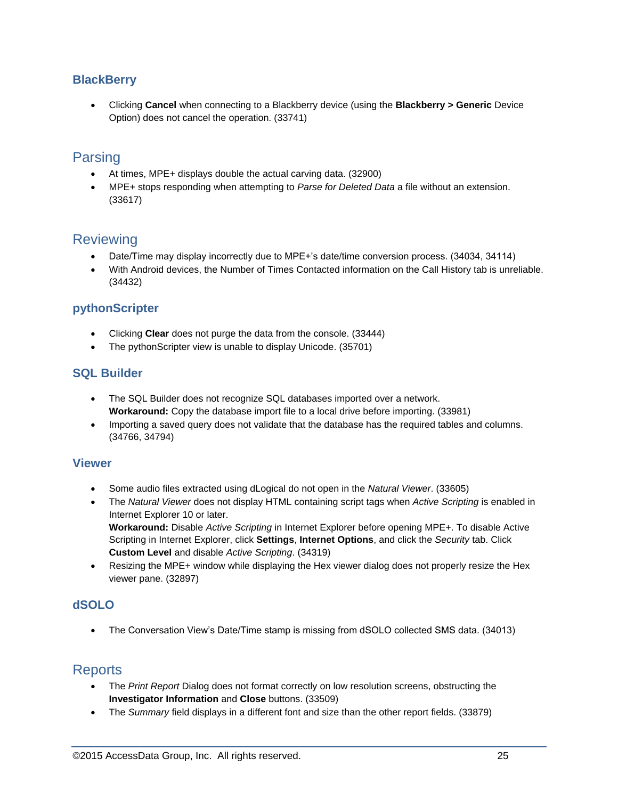#### **BlackBerry**

 Clicking **Cancel** when connecting to a Blackberry device (using the **Blackberry > Generic** Device Option) does not cancel the operation. (33741)

## Parsing

- At times, MPE+ displays double the actual carving data. (32900)
- MPE+ stops responding when attempting to *Parse for Deleted Data* a file without an extension. (33617)

### **Reviewing**

- Date/Time may display incorrectly due to MPE+'s date/time conversion process. (34034, 34114)
- With Android devices, the Number of Times Contacted information on the Call History tab is unreliable. (34432)

#### **pythonScripter**

- Clicking **Clear** does not purge the data from the console. (33444)
- The pythonScripter view is unable to display Unicode. (35701)

#### **SQL Builder**

- The SQL Builder does not recognize SQL databases imported over a network. **Workaround:** Copy the database import file to a local drive before importing. (33981)
- Importing a saved query does not validate that the database has the required tables and columns. (34766, 34794)

#### **Viewer**

- Some audio files extracted using dLogical do not open in the *Natural Viewer*. (33605)
- The *Natural Viewer* does not display HTML containing script tags when *Active Scripting* is enabled in Internet Explorer 10 or later. **Workaround:** Disable *Active Scripting* in Internet Explorer before opening MPE+. To disable Active

Scripting in Internet Explorer, click **Settings**, **Internet Options**, and click the *Security* tab. Click **Custom Level** and disable *Active Scripting*. (34319)

 Resizing the MPE+ window while displaying the Hex viewer dialog does not properly resize the Hex viewer pane. (32897)

#### **dSOLO**

The Conversation View's Date/Time stamp is missing from dSOLO collected SMS data. (34013)

#### **Reports**

- The *Print Report* Dialog does not format correctly on low resolution screens, obstructing the **Investigator Information** and **Close** buttons. (33509)
- The *Summary* field displays in a different font and size than the other report fields. (33879)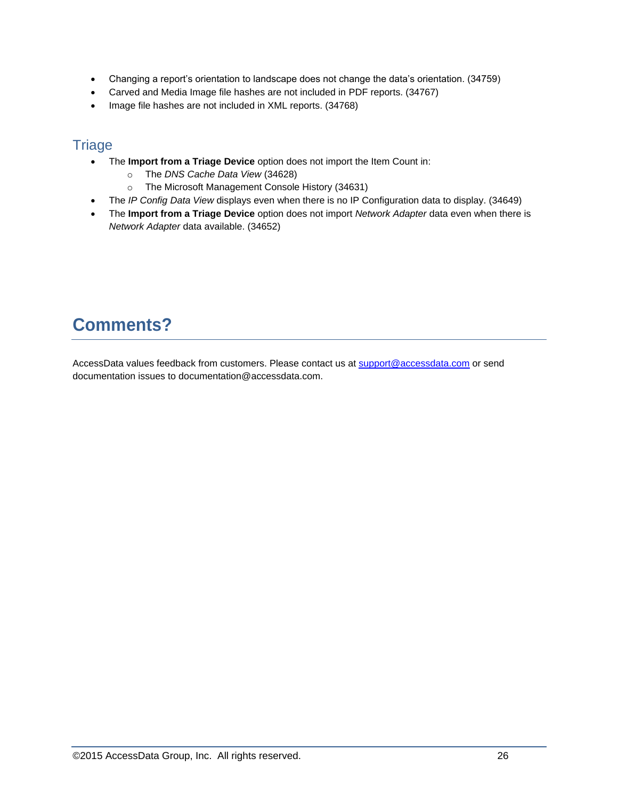- Changing a report's orientation to landscape does not change the data's orientation. (34759)
- Carved and Media Image file hashes are not included in PDF reports. (34767)
- Image file hashes are not included in XML reports. (34768)

### **Triage**

- The **Import from a Triage Device** option does not import the Item Count in:
	- o The *DNS Cache Data View* (34628)
	- o The Microsoft Management Console History (34631)
- The *IP Config Data View* displays even when there is no IP Configuration data to display. (34649)
- The **Import from a Triage Device** option does not import *Network Adapter* data even when there is *Network Adapter* data available. (34652)

# **Comments?**

AccessData values feedback from customers. Please contact us at [support@accessdata.com](mailto:support@accessdata.com) or send documentation issues to documentation@accessdata.com.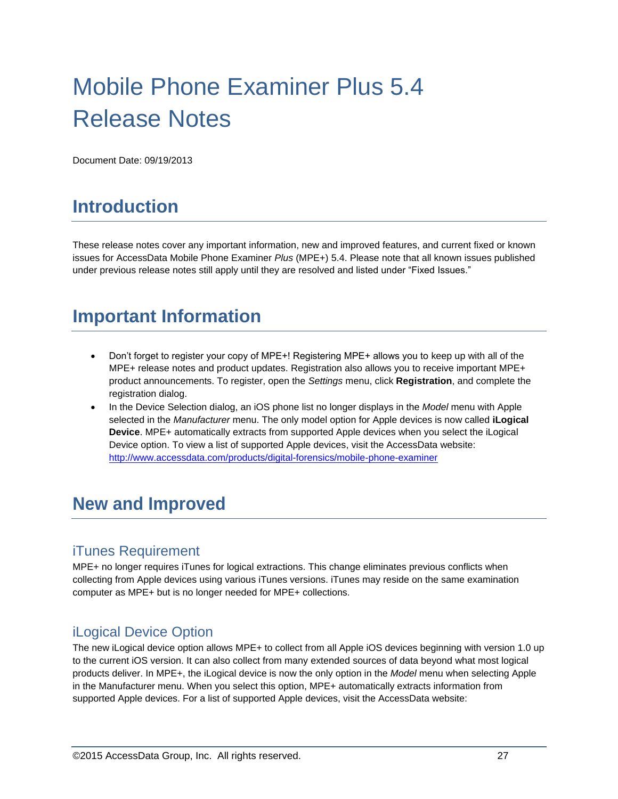# Mobile Phone Examiner Plus 5.4 Release Notes

Document Date: 09/19/2013

# **Introduction**

These release notes cover any important information, new and improved features, and current fixed or known issues for AccessData Mobile Phone Examiner *Plus* (MPE+) 5.4. Please note that all known issues published under previous release notes still apply until they are resolved and listed under "Fixed Issues."

# **Important Information**

- Don't forget to register your copy of MPE+! Registering MPE+ allows you to keep up with all of the MPE+ release notes and product updates. Registration also allows you to receive important MPE+ product announcements. To register, open the *Settings* menu, click **Registration**, and complete the registration dialog.
- In the Device Selection dialog, an iOS phone list no longer displays in the *Model* menu with Apple selected in the *Manufacturer* menu. The only model option for Apple devices is now called **iLogical Device**. MPE+ automatically extracts from supported Apple devices when you select the iLogical Device option. To view a list of supported Apple devices, visit the AccessData website: <http://www.accessdata.com/products/digital-forensics/mobile-phone-examiner>

# **New and Improved**

### iTunes Requirement

MPE+ no longer requires iTunes for logical extractions. This change eliminates previous conflicts when collecting from Apple devices using various iTunes versions. iTunes may reside on the same examination computer as MPE+ but is no longer needed for MPE+ collections.

### iLogical Device Option

The new iLogical device option allows MPE+ to collect from all Apple iOS devices beginning with version 1.0 up to the current iOS version. It can also collect from many extended sources of data beyond what most logical products deliver. In MPE+, the iLogical device is now the only option in the *Model* menu when selecting Apple in the Manufacturer menu. When you select this option, MPE+ automatically extracts information from supported Apple devices. For a list of supported Apple devices, visit the AccessData website: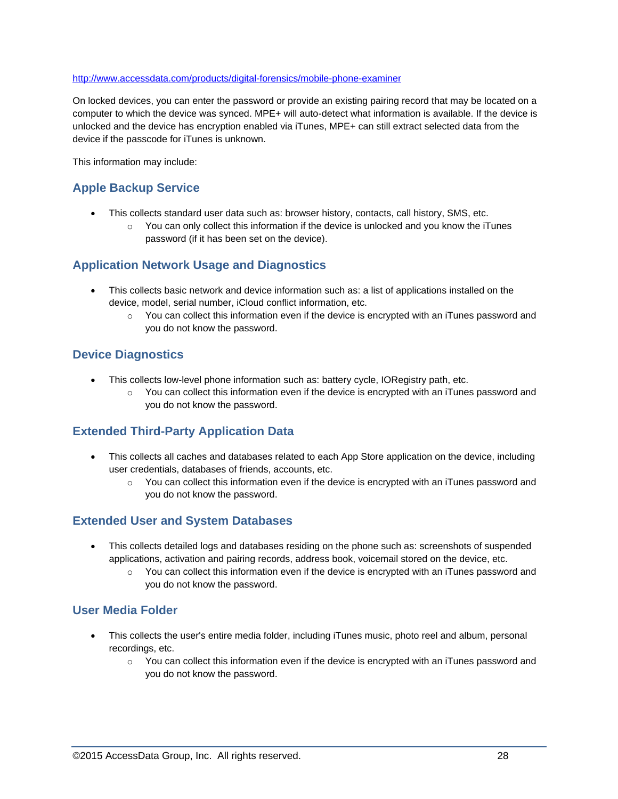#### <http://www.accessdata.com/products/digital-forensics/mobile-phone-examiner>

On locked devices, you can enter the password or provide an existing pairing record that may be located on a computer to which the device was synced. MPE+ will auto-detect what information is available. If the device is unlocked and the device has encryption enabled via iTunes, MPE+ can still extract selected data from the device if the passcode for iTunes is unknown.

This information may include:

#### **Apple Backup Service**

- This collects standard user data such as: browser history, contacts, call history, SMS, etc.
	- $\circ$  You can only collect this information if the device is unlocked and you know the iTunes password (if it has been set on the device).

#### **Application Network Usage and Diagnostics**

- This collects basic network and device information such as: a list of applications installed on the device, model, serial number, iCloud conflict information, etc.
	- $\circ$  You can collect this information even if the device is encrypted with an iTunes password and you do not know the password.

#### **Device Diagnostics**

- This collects low-level phone information such as: battery cycle, IORegistry path, etc.
	- $\circ$  You can collect this information even if the device is encrypted with an iTunes password and you do not know the password.

#### **Extended Third-Party Application Data**

- This collects all caches and databases related to each App Store application on the device, including user credentials, databases of friends, accounts, etc.
	- $\circ$  You can collect this information even if the device is encrypted with an iTunes password and you do not know the password.

#### **Extended User and System Databases**

- This collects detailed logs and databases residing on the phone such as: screenshots of suspended applications, activation and pairing records, address book, voicemail stored on the device, etc.
	- $\circ$  You can collect this information even if the device is encrypted with an iTunes password and you do not know the password.

#### **User Media Folder**

- This collects the user's entire media folder, including iTunes music, photo reel and album, personal recordings, etc.
	- $\circ$  You can collect this information even if the device is encrypted with an iTunes password and you do not know the password.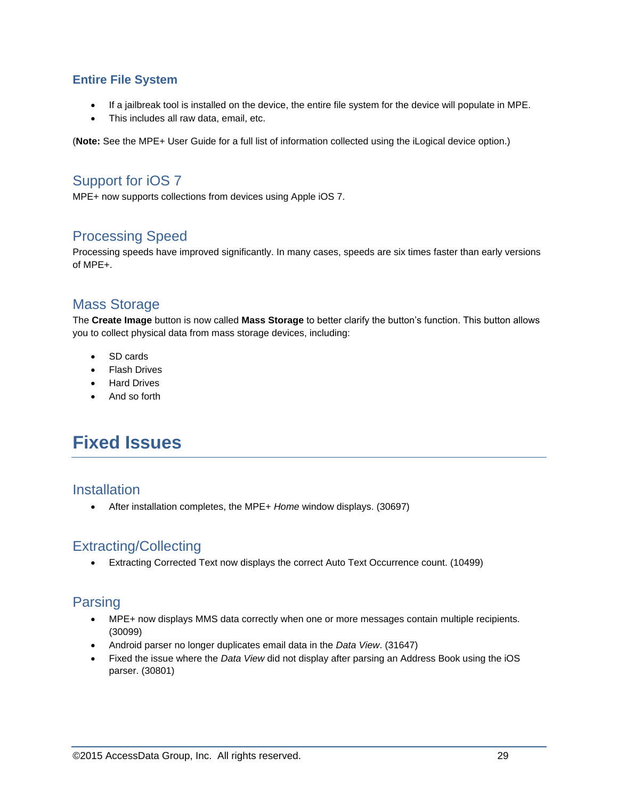#### **Entire File System**

- If a jailbreak tool is installed on the device, the entire file system for the device will populate in MPE.
- This includes all raw data, email, etc.

(**Note:** See the MPE+ User Guide for a full list of information collected using the iLogical device option.)

### Support for iOS 7

MPE+ now supports collections from devices using Apple iOS 7.

### Processing Speed

Processing speeds have improved significantly. In many cases, speeds are six times faster than early versions of MPE+.

### Mass Storage

The **Create Image** button is now called **Mass Storage** to better clarify the button's function. This button allows you to collect physical data from mass storage devices, including:

- SD cards
- Flash Drives
- Hard Drives
- And so forth

# **Fixed Issues**

#### **Installation**

After installation completes, the MPE+ *Home* window displays. (30697)

## Extracting/Collecting

Extracting Corrected Text now displays the correct Auto Text Occurrence count. (10499)

### Parsing

- MPE+ now displays MMS data correctly when one or more messages contain multiple recipients. (30099)
- Android parser no longer duplicates email data in the *Data View*. (31647)
- Fixed the issue where the *Data View* did not display after parsing an Address Book using the iOS parser. (30801)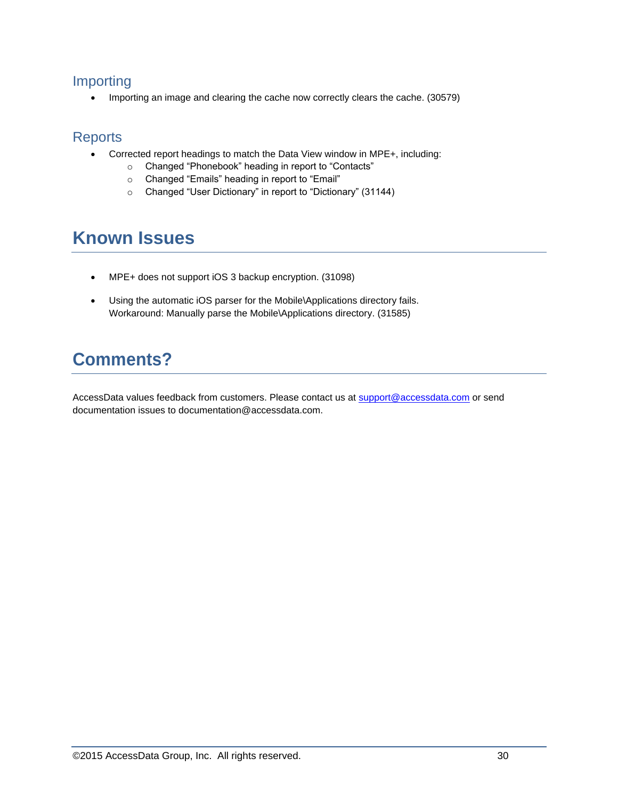### Importing

• Importing an image and clearing the cache now correctly clears the cache. (30579)

### **Reports**

- Corrected report headings to match the Data View window in MPE+, including:
	- o Changed "Phonebook" heading in report to "Contacts"
	- o Changed "Emails" heading in report to "Email"
	- o Changed "User Dictionary" in report to "Dictionary" (31144)

# **Known Issues**

- MPE+ does not support iOS 3 backup encryption. (31098)
- Using the automatic iOS parser for the Mobile\Applications directory fails. Workaround: Manually parse the Mobile\Applications directory. (31585)

# **Comments?**

AccessData values feedback from customers. Please contact us at [support@accessdata.com](mailto:support@accessdata.com) or send documentation issues to documentation@accessdata.com.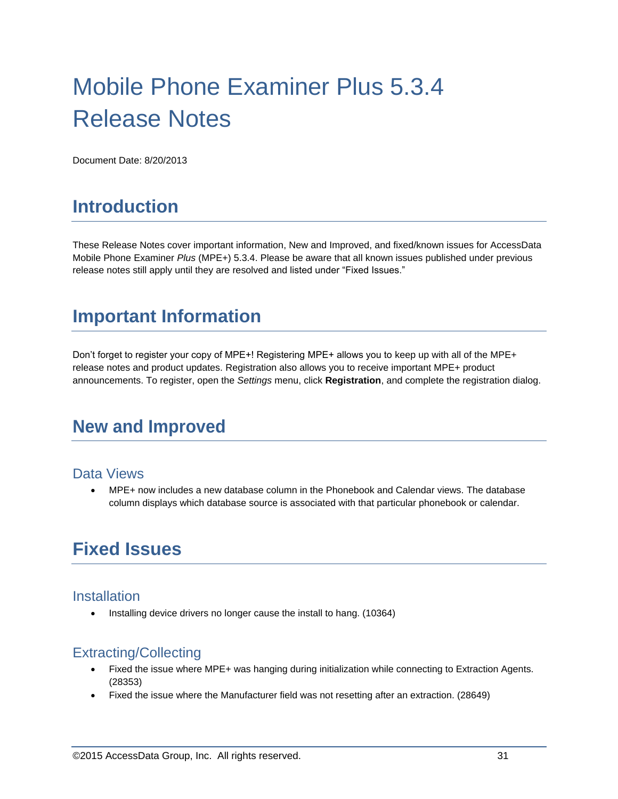# Mobile Phone Examiner Plus 5.3.4 Release Notes

Document Date: 8/20/2013

# **Introduction**

These Release Notes cover important information, New and Improved, and fixed/known issues for AccessData Mobile Phone Examiner *Plus* (MPE+) 5.3.4. Please be aware that all known issues published under previous release notes still apply until they are resolved and listed under "Fixed Issues."

# **Important Information**

Don't forget to register your copy of MPE+! Registering MPE+ allows you to keep up with all of the MPE+ release notes and product updates. Registration also allows you to receive important MPE+ product announcements. To register, open the *Settings* menu, click **Registration**, and complete the registration dialog.

# **New and Improved**

#### Data Views

 MPE+ now includes a new database column in the Phonebook and Calendar views. The database column displays which database source is associated with that particular phonebook or calendar.

# **Fixed Issues**

#### Installation

• Installing device drivers no longer cause the install to hang. (10364)

## Extracting/Collecting

- Fixed the issue where MPE+ was hanging during initialization while connecting to Extraction Agents. (28353)
- Fixed the issue where the Manufacturer field was not resetting after an extraction. (28649)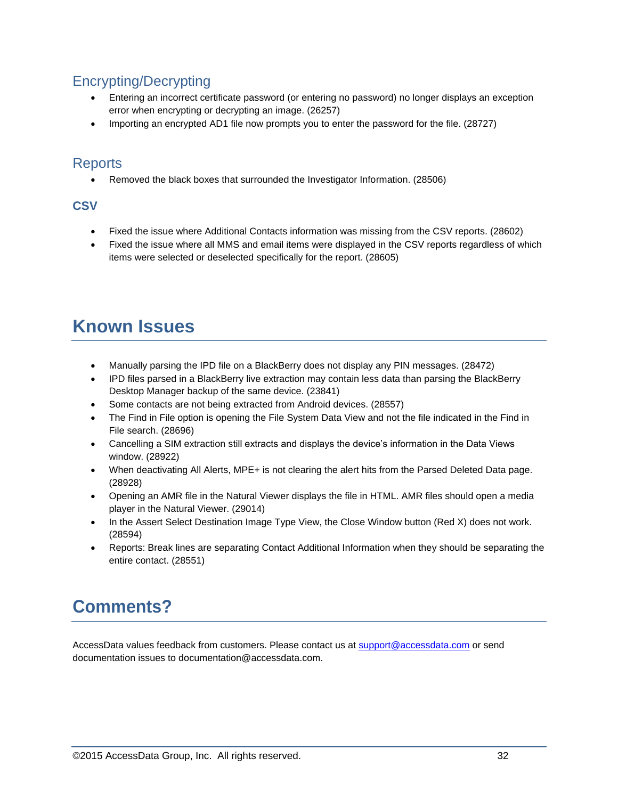## Encrypting/Decrypting

- Entering an incorrect certificate password (or entering no password) no longer displays an exception error when encrypting or decrypting an image. (26257)
- Importing an encrypted AD1 file now prompts you to enter the password for the file. (28727)

### **Reports**

Removed the black boxes that surrounded the Investigator Information. (28506)

#### **CSV**

- Fixed the issue where Additional Contacts information was missing from the CSV reports. (28602)
- Fixed the issue where all MMS and email items were displayed in the CSV reports regardless of which items were selected or deselected specifically for the report. (28605)

# **Known Issues**

- Manually parsing the IPD file on a BlackBerry does not display any PIN messages. (28472)
- IPD files parsed in a BlackBerry live extraction may contain less data than parsing the BlackBerry Desktop Manager backup of the same device. (23841)
- Some contacts are not being extracted from Android devices. (28557)
- The Find in File option is opening the File System Data View and not the file indicated in the Find in File search. (28696)
- Cancelling a SIM extraction still extracts and displays the device's information in the Data Views window. (28922)
- When deactivating All Alerts, MPE+ is not clearing the alert hits from the Parsed Deleted Data page. (28928)
- Opening an AMR file in the Natural Viewer displays the file in HTML. AMR files should open a media player in the Natural Viewer. (29014)
- In the Assert Select Destination Image Type View, the Close Window button (Red X) does not work. (28594)
- Reports: Break lines are separating Contact Additional Information when they should be separating the entire contact. (28551)

# **Comments?**

AccessData values feedback from customers. Please contact us at [support@accessdata.com](mailto:support@accessdata.com) or send documentation issues to documentation@accessdata.com.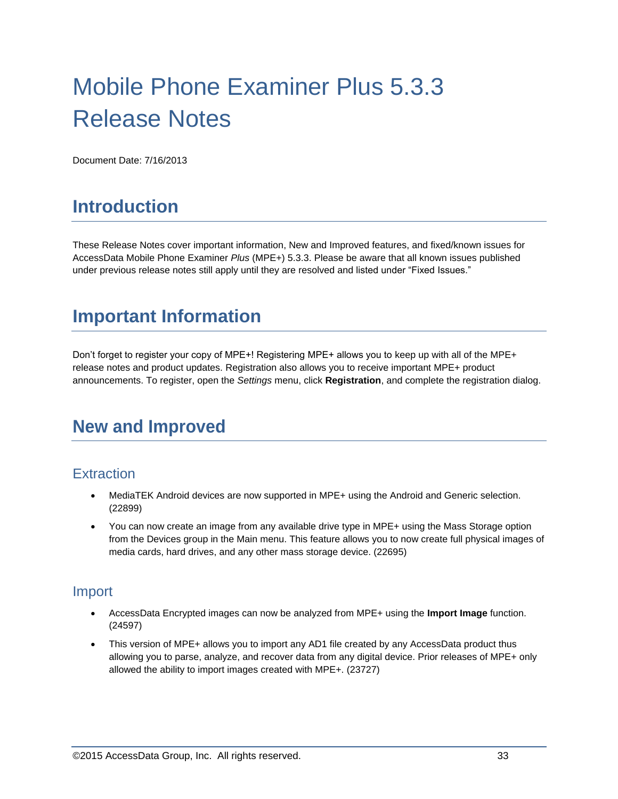# Mobile Phone Examiner Plus 5.3.3 Release Notes

Document Date: 7/16/2013

# **Introduction**

These Release Notes cover important information, New and Improved features, and fixed/known issues for AccessData Mobile Phone Examiner *Plus* (MPE+) 5.3.3. Please be aware that all known issues published under previous release notes still apply until they are resolved and listed under "Fixed Issues."

# **Important Information**

Don't forget to register your copy of MPE+! Registering MPE+ allows you to keep up with all of the MPE+ release notes and product updates. Registration also allows you to receive important MPE+ product announcements. To register, open the *Settings* menu, click **Registration**, and complete the registration dialog.

# **New and Improved**

## **Extraction**

- MediaTEK Android devices are now supported in MPE+ using the Android and Generic selection. (22899)
- You can now create an image from any available drive type in MPE+ using the Mass Storage option from the Devices group in the Main menu. This feature allows you to now create full physical images of media cards, hard drives, and any other mass storage device. (22695)

#### Import

- AccessData Encrypted images can now be analyzed from MPE+ using the **Import Image** function. (24597)
- This version of MPE+ allows you to import any AD1 file created by any AccessData product thus allowing you to parse, analyze, and recover data from any digital device. Prior releases of MPE+ only allowed the ability to import images created with MPE+. (23727)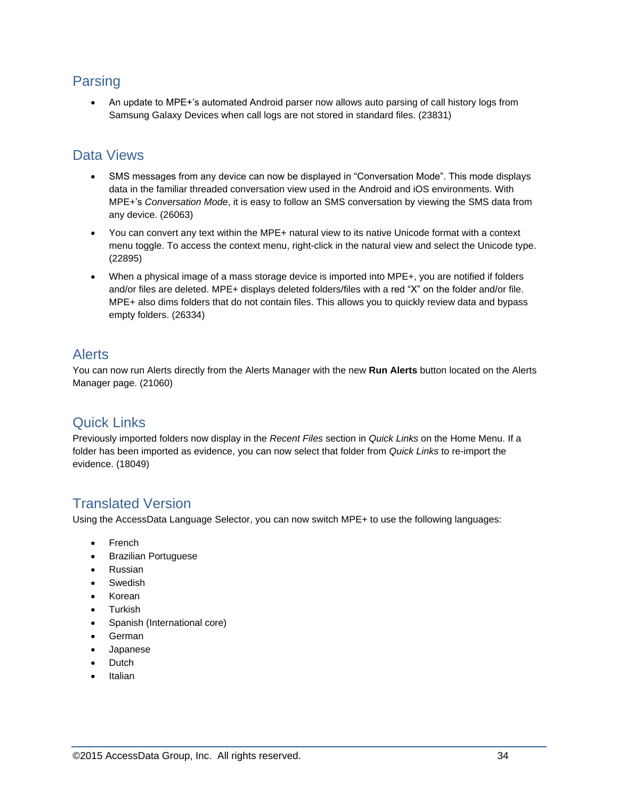### Parsing

 An update to MPE+'s automated Android parser now allows auto parsing of call history logs from Samsung Galaxy Devices when call logs are not stored in standard files. (23831)

### Data Views

- SMS messages from any device can now be displayed in "Conversation Mode". This mode displays data in the familiar threaded conversation view used in the Android and iOS environments. With MPE+'s *Conversation Mode*, it is easy to follow an SMS conversation by viewing the SMS data from any device. (26063)
- You can convert any text within the MPE+ natural view to its native Unicode format with a context menu toggle. To access the context menu, right-click in the natural view and select the Unicode type. (22895)
- When a physical image of a mass storage device is imported into MPE+, you are notified if folders and/or files are deleted. MPE+ displays deleted folders/files with a red "X" on the folder and/or file. MPE+ also dims folders that do not contain files. This allows you to quickly review data and bypass empty folders. (26334)

### Alerts

You can now run Alerts directly from the Alerts Manager with the new **Run Alerts** button located on the Alerts Manager page. (21060)

## Quick Links

Previously imported folders now display in the *Recent Files* section in *Quick Links* on the Home Menu. If a folder has been imported as evidence, you can now select that folder from *Quick Links* to re-import the evidence. (18049)

## Translated Version

Using the AccessData Language Selector, you can now switch MPE+ to use the following languages:

- French
- Brazilian Portuguese
- Russian
- Swedish
- Korean
- Turkish
- Spanish (International core)
- German
- Japanese
- **Dutch**
- Italian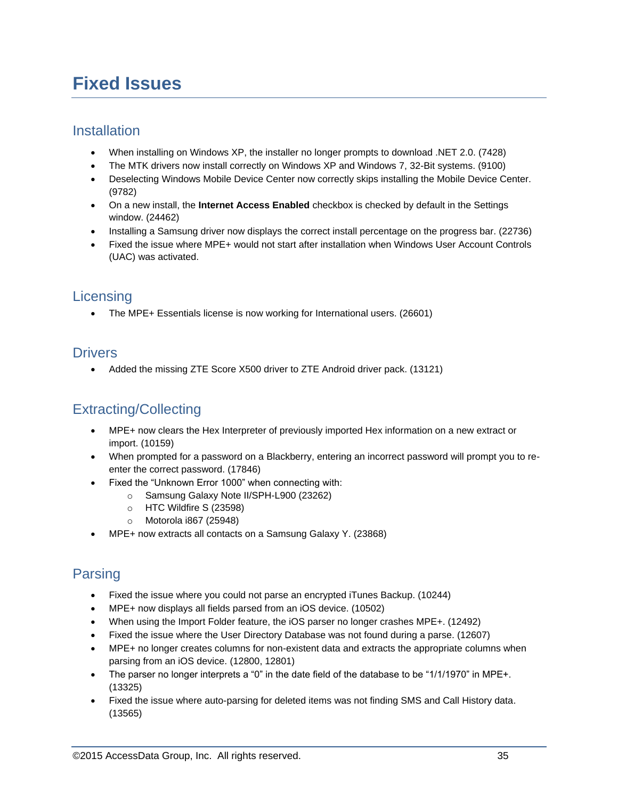# **Fixed Issues**

### **Installation**

- When installing on Windows XP, the installer no longer prompts to download .NET 2.0. (7428)
- The MTK drivers now install correctly on Windows XP and Windows 7, 32-Bit systems. (9100)
- Deselecting Windows Mobile Device Center now correctly skips installing the Mobile Device Center. (9782)
- On a new install, the **Internet Access Enabled** checkbox is checked by default in the Settings window. (24462)
- Installing a Samsung driver now displays the correct install percentage on the progress bar. (22736)
- Fixed the issue where MPE+ would not start after installation when Windows User Account Controls (UAC) was activated.

### **Licensing**

• The MPE+ Essentials license is now working for International users. (26601)

### **Drivers**

Added the missing ZTE Score X500 driver to ZTE Android driver pack. (13121)

# Extracting/Collecting

- MPE+ now clears the Hex Interpreter of previously imported Hex information on a new extract or import. (10159)
- When prompted for a password on a Blackberry, entering an incorrect password will prompt you to reenter the correct password. (17846)
- Fixed the "Unknown Error 1000" when connecting with:
	- o Samsung Galaxy Note II/SPH-L900 (23262)
		- o HTC Wildfire S (23598)
		- o Motorola i867 (25948)
- MPE+ now extracts all contacts on a Samsung Galaxy Y. (23868)

## Parsing

- Fixed the issue where you could not parse an encrypted iTunes Backup. (10244)
- MPE+ now displays all fields parsed from an iOS device. (10502)
- When using the Import Folder feature, the iOS parser no longer crashes MPE+. (12492)
- Fixed the issue where the User Directory Database was not found during a parse. (12607)
- MPE+ no longer creates columns for non-existent data and extracts the appropriate columns when parsing from an iOS device. (12800, 12801)
- The parser no longer interprets a "0" in the date field of the database to be "1/1/1970" in MPE+. (13325)
- Fixed the issue where auto-parsing for deleted items was not finding SMS and Call History data. (13565)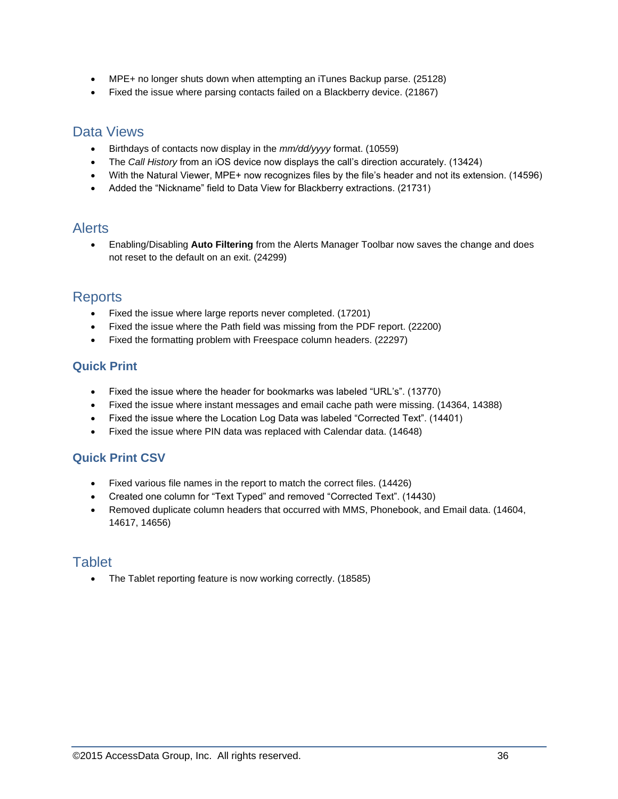- MPE+ no longer shuts down when attempting an iTunes Backup parse. (25128)
- Fixed the issue where parsing contacts failed on a Blackberry device. (21867)

#### Data Views

- Birthdays of contacts now display in the *mm/dd/yyyy* format. (10559)
- The *Call History* from an iOS device now displays the call's direction accurately. (13424)
- With the Natural Viewer, MPE+ now recognizes files by the file's header and not its extension. (14596)
- Added the "Nickname" field to Data View for Blackberry extractions. (21731)

### **Alerts**

 Enabling/Disabling **Auto Filtering** from the Alerts Manager Toolbar now saves the change and does not reset to the default on an exit. (24299)

#### **Reports**

- Fixed the issue where large reports never completed. (17201)
- Fixed the issue where the Path field was missing from the PDF report. (22200)
- Fixed the formatting problem with Freespace column headers. (22297)

#### **Quick Print**

- Fixed the issue where the header for bookmarks was labeled "URL's". (13770)
- Fixed the issue where instant messages and email cache path were missing. (14364, 14388)
- Fixed the issue where the Location Log Data was labeled "Corrected Text". (14401)
- Fixed the issue where PIN data was replaced with Calendar data. (14648)

#### **Quick Print CSV**

- Fixed various file names in the report to match the correct files. (14426)
- Created one column for "Text Typed" and removed "Corrected Text". (14430)
- Removed duplicate column headers that occurred with MMS, Phonebook, and Email data. (14604, 14617, 14656)

### **Tablet**

• The Tablet reporting feature is now working correctly. (18585)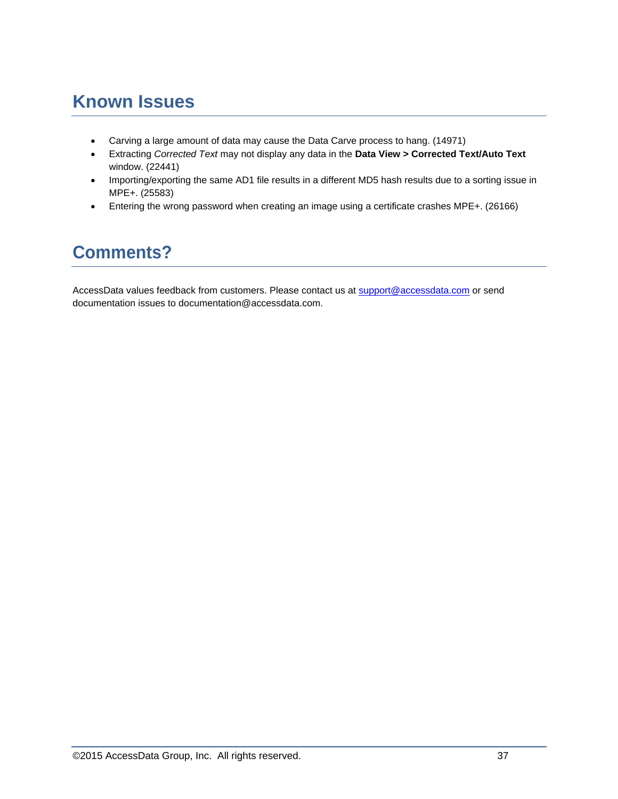# **Known Issues**

- Carving a large amount of data may cause the Data Carve process to hang. (14971)
- Extracting *Corrected Text* may not display any data in the **Data View > Corrected Text/Auto Text** window. (22441)
- Importing/exporting the same AD1 file results in a different MD5 hash results due to a sorting issue in MPE+. (25583)
- Entering the wrong password when creating an image using a certificate crashes MPE+. (26166)

# **Comments?**

AccessData values feedback from customers. Please contact us at [support@accessdata.com](mailto:support@accessdata.com) or send documentation issues to documentation@accessdata.com.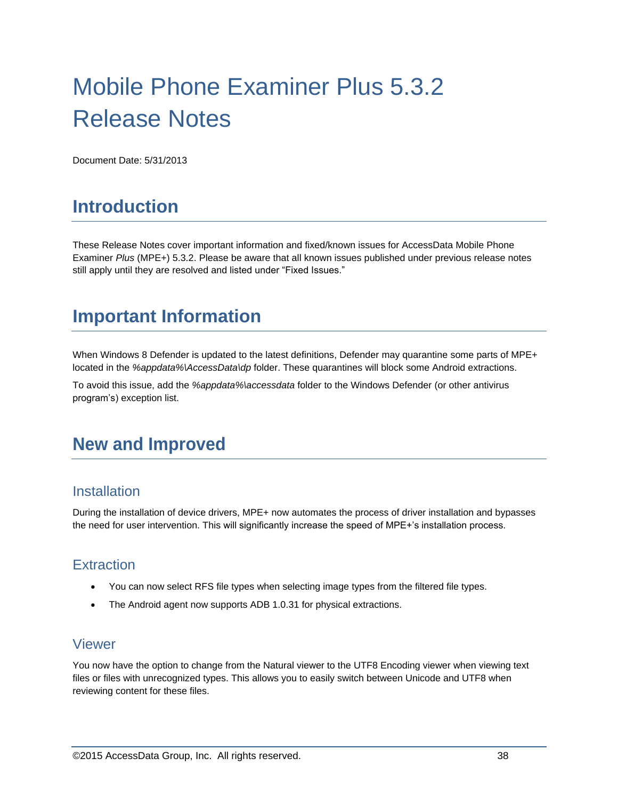# Mobile Phone Examiner Plus 5.3.2 Release Notes

Document Date: 5/31/2013

# **Introduction**

These Release Notes cover important information and fixed/known issues for AccessData Mobile Phone Examiner *Plus* (MPE+) 5.3.2. Please be aware that all known issues published under previous release notes still apply until they are resolved and listed under "Fixed Issues."

# **Important Information**

When Windows 8 Defender is updated to the latest definitions, Defender may quarantine some parts of MPE+ located in the *%appdata%\AccessData\dp* folder. These quarantines will block some Android extractions.

To avoid this issue, add the *%appdata%\accessdata* folder to the Windows Defender (or other antivirus program's) exception list.

# **New and Improved**

#### **Installation**

During the installation of device drivers, MPE+ now automates the process of driver installation and bypasses the need for user intervention. This will significantly increase the speed of MPE+'s installation process.

### **Extraction**

- You can now select RFS file types when selecting image types from the filtered file types.
- The Android agent now supports ADB 1.0.31 for physical extractions.

#### Viewer

You now have the option to change from the Natural viewer to the UTF8 Encoding viewer when viewing text files or files with unrecognized types. This allows you to easily switch between Unicode and UTF8 when reviewing content for these files.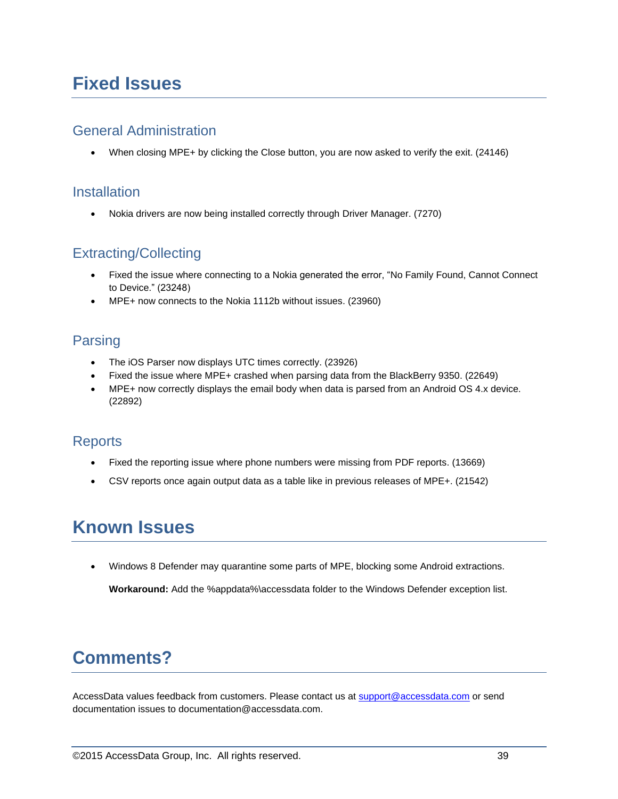# **Fixed Issues**

### General Administration

When closing MPE+ by clicking the Close button, you are now asked to verify the exit. (24146)

#### **Installation**

Nokia drivers are now being installed correctly through Driver Manager. (7270)

## Extracting/Collecting

- Fixed the issue where connecting to a Nokia generated the error, "No Family Found, Cannot Connect to Device." (23248)
- MPE+ now connects to the Nokia 1112b without issues. (23960)

# Parsing

- The iOS Parser now displays UTC times correctly. (23926)
- Fixed the issue where MPE+ crashed when parsing data from the BlackBerry 9350. (22649)
- MPE+ now correctly displays the email body when data is parsed from an Android OS 4.x device. (22892)

### **Reports**

- Fixed the reporting issue where phone numbers were missing from PDF reports. (13669)
- CSV reports once again output data as a table like in previous releases of MPE+. (21542)

# **Known Issues**

Windows 8 Defender may quarantine some parts of MPE, blocking some Android extractions.

**Workaround:** Add the %appdata%\accessdata folder to the Windows Defender exception list.

# **Comments?**

AccessData values feedback from customers. Please contact us at [support@accessdata.com](mailto:support@accessdata.com) or send documentation issues to documentation@accessdata.com.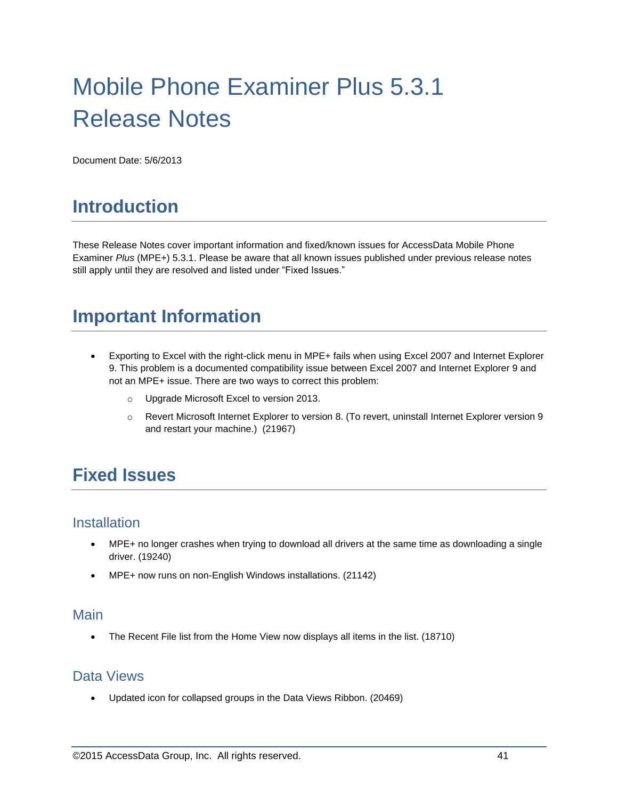# Mobile Phone Examiner Plus 5.3.1 Release Notes

Document Date: 5/6/2013

# **Introduction**

These Release Notes cover important information and fixed/known issues for AccessData Mobile Phone Examiner *Plus* (MPE+) 5.3.1. Please be aware that all known issues published under previous release notes still apply until they are resolved and listed under "Fixed Issues."

# **Important Information**

- Exporting to Excel with the right-click menu in MPE+ fails when using Excel 2007 and Internet Explorer 9. This problem is a documented compatibility issue between Excel 2007 and Internet Explorer 9 and not an MPE+ issue. There are two ways to correct this problem:
	- o Upgrade Microsoft Excel to version 2013.
	- o Revert Microsoft Internet Explorer to version 8. (To revert, uninstall Internet Explorer version 9 and restart your machine.) (21967)

# **Fixed Issues**

#### **Installation**

- MPE+ no longer crashes when trying to download all drivers at the same time as downloading a single driver. (19240)
- MPE+ now runs on non-English Windows installations. (21142)

#### Main

The Recent File list from the Home View now displays all items in the list. (18710)

#### Data Views

Updated icon for collapsed groups in the Data Views Ribbon. (20469)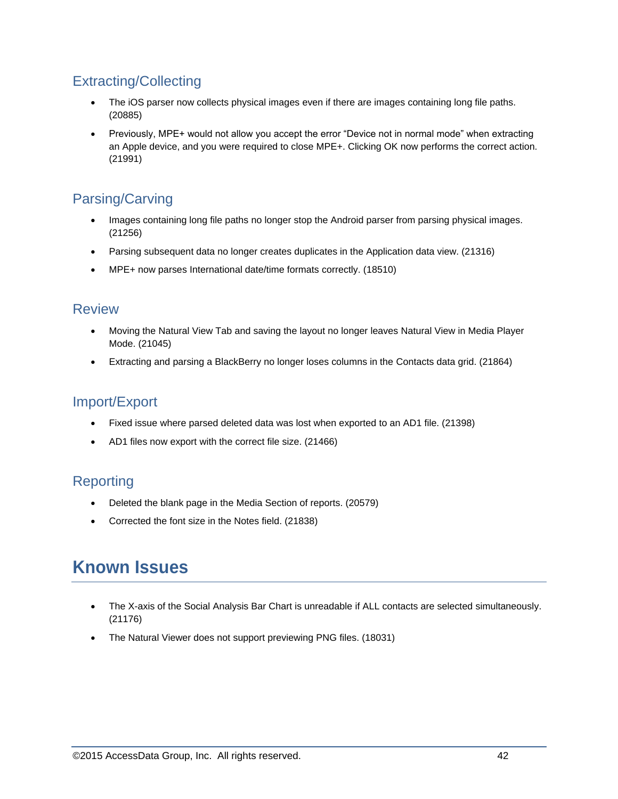# Extracting/Collecting

- The iOS parser now collects physical images even if there are images containing long file paths. (20885)
- Previously, MPE+ would not allow you accept the error "Device not in normal mode" when extracting an Apple device, and you were required to close MPE+. Clicking OK now performs the correct action. (21991)

# Parsing/Carving

- Images containing long file paths no longer stop the Android parser from parsing physical images. (21256)
- Parsing subsequent data no longer creates duplicates in the Application data view. (21316)
- MPE+ now parses International date/time formats correctly. (18510)

### **Review**

- Moving the Natural View Tab and saving the layout no longer leaves Natural View in Media Player Mode. (21045)
- Extracting and parsing a BlackBerry no longer loses columns in the Contacts data grid. (21864)

### Import/Export

- Fixed issue where parsed deleted data was lost when exported to an AD1 file. (21398)
- AD1 files now export with the correct file size. (21466)

## Reporting

- Deleted the blank page in the Media Section of reports. (20579)
- Corrected the font size in the Notes field. (21838)

# **Known Issues**

- The X-axis of the Social Analysis Bar Chart is unreadable if ALL contacts are selected simultaneously. (21176)
- The Natural Viewer does not support previewing PNG files. (18031)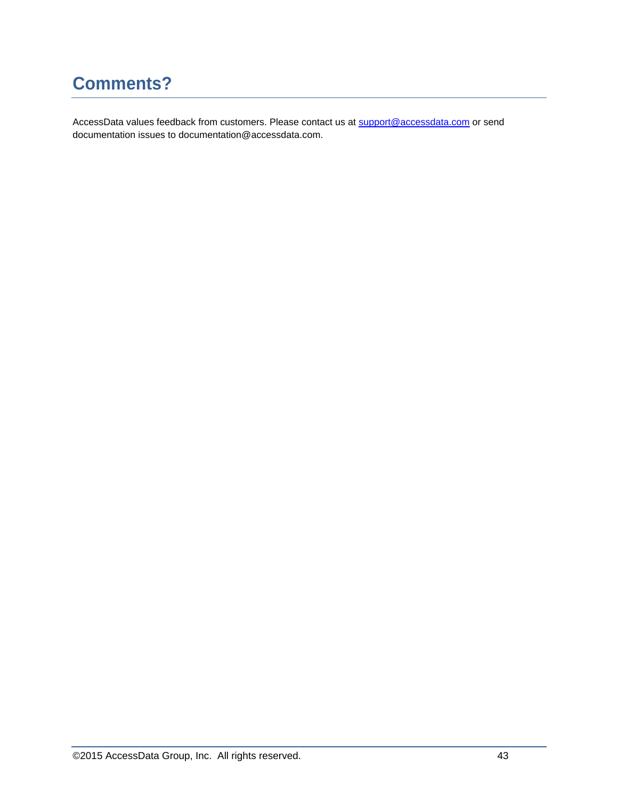# **Comments?**

AccessData values feedback from customers. Please contact us at [support@accessdata.com](mailto:support@accessdata.com) or send documentation issues to documentation@accessdata.com.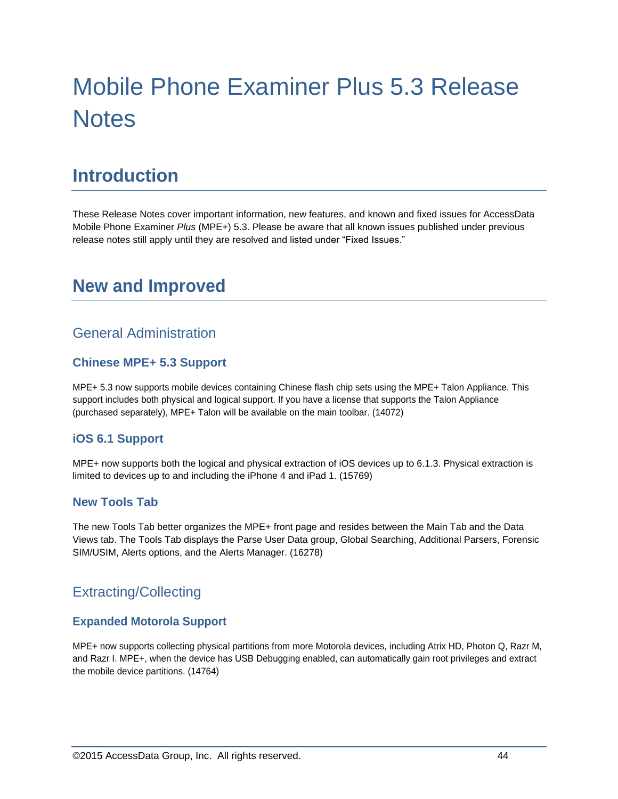# Mobile Phone Examiner Plus 5.3 Release **Notes**

# **Introduction**

These Release Notes cover important information, new features, and known and fixed issues for AccessData Mobile Phone Examiner *Plus* (MPE+) 5.3. Please be aware that all known issues published under previous release notes still apply until they are resolved and listed under "Fixed Issues."

# **New and Improved**

## General Administration

#### **Chinese MPE+ 5.3 Support**

MPE+ 5.3 now supports mobile devices containing Chinese flash chip sets using the MPE+ Talon Appliance. This support includes both physical and logical support. If you have a license that supports the Talon Appliance (purchased separately), MPE+ Talon will be available on the main toolbar. (14072)

#### **iOS 6.1 Support**

MPE+ now supports both the logical and physical extraction of iOS devices up to 6.1.3. Physical extraction is limited to devices up to and including the iPhone 4 and iPad 1. (15769)

#### **New Tools Tab**

The new Tools Tab better organizes the MPE+ front page and resides between the Main Tab and the Data Views tab. The Tools Tab displays the Parse User Data group, Global Searching, Additional Parsers, Forensic SIM/USIM, Alerts options, and the Alerts Manager. (16278)

## Extracting/Collecting

#### **Expanded Motorola Support**

MPE+ now supports collecting physical partitions from more Motorola devices, including Atrix HD, Photon Q, Razr M, and Razr I. MPE+, when the device has USB Debugging enabled, can automatically gain root privileges and extract the mobile device partitions. (14764)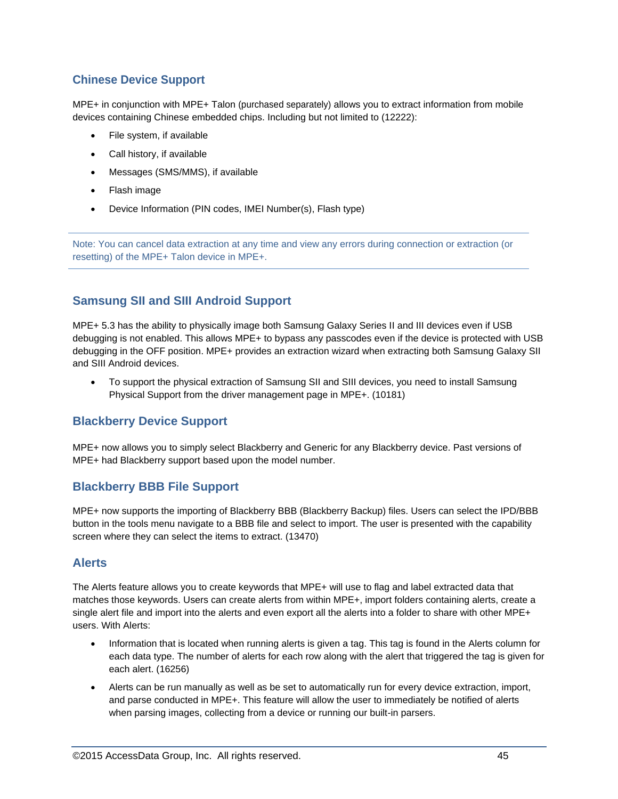#### **Chinese Device Support**

MPE+ in conjunction with MPE+ Talon (purchased separately) allows you to extract information from mobile devices containing Chinese embedded chips. Including but not limited to (12222):

- File system, if available
- Call history, if available
- Messages (SMS/MMS), if available
- Flash image
- Device Information (PIN codes, IMEI Number(s), Flash type)

Note: You can cancel data extraction at any time and view any errors during connection or extraction (or resetting) of the MPE+ Talon device in MPE+.

#### **Samsung SII and SIII Android Support**

MPE+ 5.3 has the ability to physically image both Samsung Galaxy Series II and III devices even if USB debugging is not enabled. This allows MPE+ to bypass any passcodes even if the device is protected with USB debugging in the OFF position. MPE+ provides an extraction wizard when extracting both Samsung Galaxy SII and SIII Android devices.

 To support the physical extraction of Samsung SII and SIII devices, you need to install Samsung Physical Support from the driver management page in MPE+. (10181)

#### **Blackberry Device Support**

MPE+ now allows you to simply select Blackberry and Generic for any Blackberry device. Past versions of MPE+ had Blackberry support based upon the model number.

#### **Blackberry BBB File Support**

MPE+ now supports the importing of Blackberry BBB (Blackberry Backup) files. Users can select the IPD/BBB button in the tools menu navigate to a BBB file and select to import. The user is presented with the capability screen where they can select the items to extract. (13470)

#### **Alerts**

The Alerts feature allows you to create keywords that MPE+ will use to flag and label extracted data that matches those keywords. Users can create alerts from within MPE+, import folders containing alerts, create a single alert file and import into the alerts and even export all the alerts into a folder to share with other MPE+ users. With Alerts:

- Information that is located when running alerts is given a tag. This tag is found in the Alerts column for each data type. The number of alerts for each row along with the alert that triggered the tag is given for each alert. (16256)
- Alerts can be run manually as well as be set to automatically run for every device extraction, import, and parse conducted in MPE+. This feature will allow the user to immediately be notified of alerts when parsing images, collecting from a device or running our built-in parsers.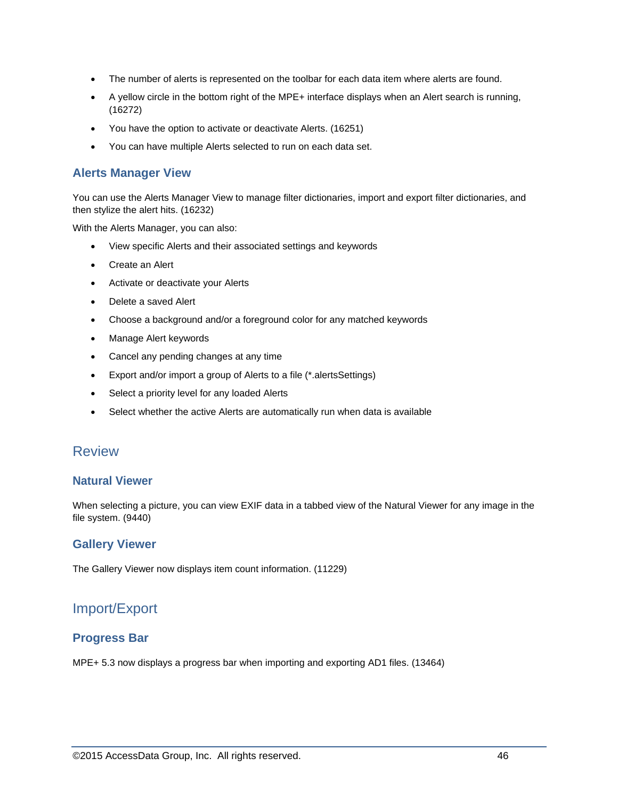- The number of alerts is represented on the toolbar for each data item where alerts are found.
- A yellow circle in the bottom right of the MPE+ interface displays when an Alert search is running, (16272)
- You have the option to activate or deactivate Alerts. (16251)
- You can have multiple Alerts selected to run on each data set.

#### **Alerts Manager View**

You can use the Alerts Manager View to manage filter dictionaries, import and export filter dictionaries, and then stylize the alert hits. (16232)

With the Alerts Manager, you can also:

- View specific Alerts and their associated settings and keywords
- Create an Alert
- Activate or deactivate your Alerts
- Delete a saved Alert
- Choose a background and/or a foreground color for any matched keywords
- Manage Alert keywords
- Cancel any pending changes at any time
- Export and/or import a group of Alerts to a file (\*.alertsSettings)
- Select a priority level for any loaded Alerts
- Select whether the active Alerts are automatically run when data is available

#### Review

#### **Natural Viewer**

When selecting a picture, you can view EXIF data in a tabbed view of the Natural Viewer for any image in the file system. (9440)

#### **Gallery Viewer**

The Gallery Viewer now displays item count information. (11229)

### Import/Export

#### **Progress Bar**

MPE+ 5.3 now displays a progress bar when importing and exporting AD1 files. (13464)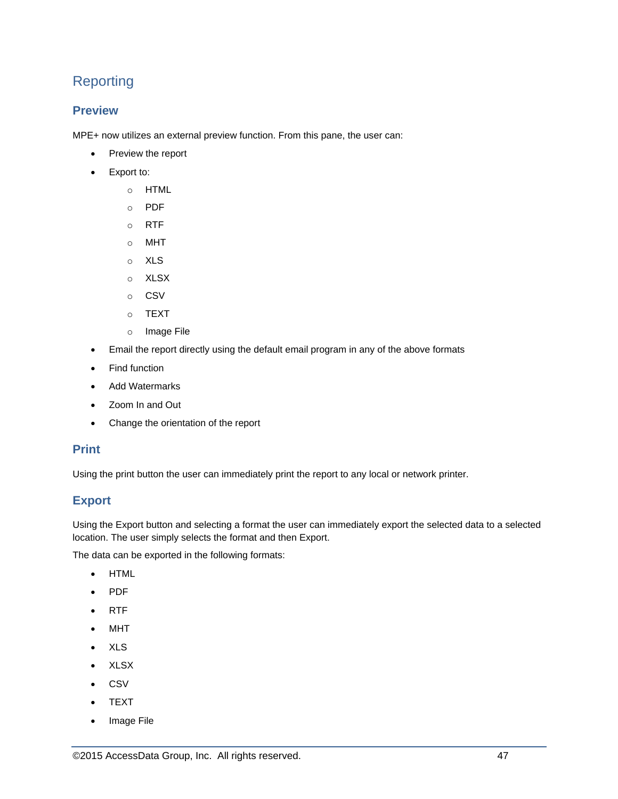# Reporting

#### **Preview**

MPE+ now utilizes an external preview function. From this pane, the user can:

- Preview the report
- Export to:
	- o HTML
	- o PDF
	- o RTF
	- o MHT
	- o XLS
	- o XLSX
	- o CSV
	- o TEXT
	- o Image File
- Email the report directly using the default email program in any of the above formats
- Find function
- Add Watermarks
- Zoom In and Out
- Change the orientation of the report

#### **Print**

Using the print button the user can immediately print the report to any local or network printer.

#### **Export**

Using the Export button and selecting a format the user can immediately export the selected data to a selected location. The user simply selects the format and then Export.

The data can be exported in the following formats:

- HTML
- PDF
- RTF
- MHT
- XLS
- XLSX
- CSV
- TEXT
- Image File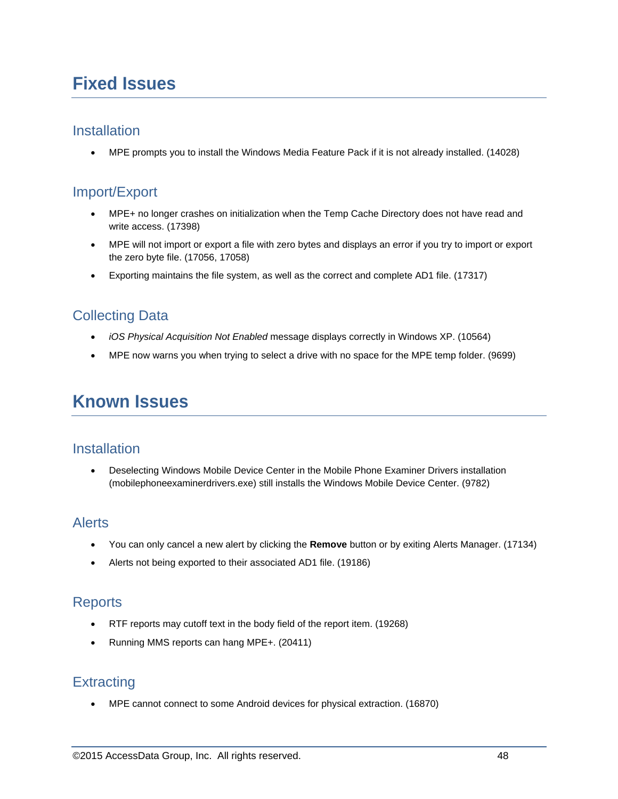# **Fixed Issues**

#### **Installation**

MPE prompts you to install the Windows Media Feature Pack if it is not already installed. (14028)

### Import/Export

- MPE+ no longer crashes on initialization when the Temp Cache Directory does not have read and write access. (17398)
- MPE will not import or export a file with zero bytes and displays an error if you try to import or export the zero byte file. (17056, 17058)
- Exporting maintains the file system, as well as the correct and complete AD1 file. (17317)

## Collecting Data

- *iOS Physical Acquisition Not Enabled* message displays correctly in Windows XP. (10564)
- MPE now warns you when trying to select a drive with no space for the MPE temp folder. (9699)

# **Known Issues**

#### **Installation**

 Deselecting Windows Mobile Device Center in the Mobile Phone Examiner Drivers installation (mobilephoneexaminerdrivers.exe) still installs the Windows Mobile Device Center. (9782)

### Alerts

- You can only cancel a new alert by clicking the **Remove** button or by exiting Alerts Manager. (17134)
- Alerts not being exported to their associated AD1 file. (19186)

### **Reports**

- RTF reports may cutoff text in the body field of the report item. (19268)
- Running MMS reports can hang MPE+. (20411)

### **Extracting**

MPE cannot connect to some Android devices for physical extraction. (16870)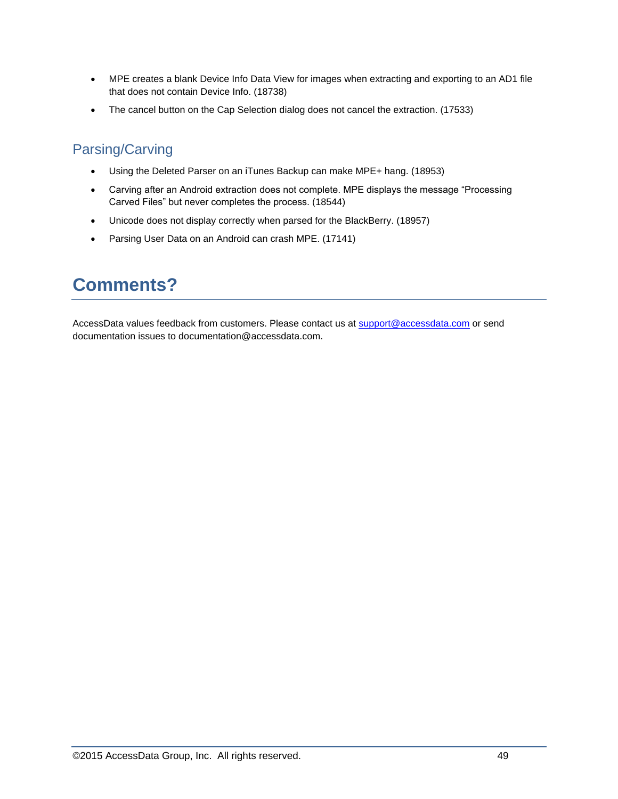- MPE creates a blank Device Info Data View for images when extracting and exporting to an AD1 file that does not contain Device Info. (18738)
- The cancel button on the Cap Selection dialog does not cancel the extraction. (17533)

# Parsing/Carving

- Using the Deleted Parser on an iTunes Backup can make MPE+ hang. (18953)
- Carving after an Android extraction does not complete. MPE displays the message "Processing Carved Files" but never completes the process. (18544)
- Unicode does not display correctly when parsed for the BlackBerry. (18957)
- Parsing User Data on an Android can crash MPE. (17141)

# **Comments?**

AccessData values feedback from customers. Please contact us at [support@accessdata.com](mailto:support@accessdata.com) or send documentation issues to documentation@accessdata.com.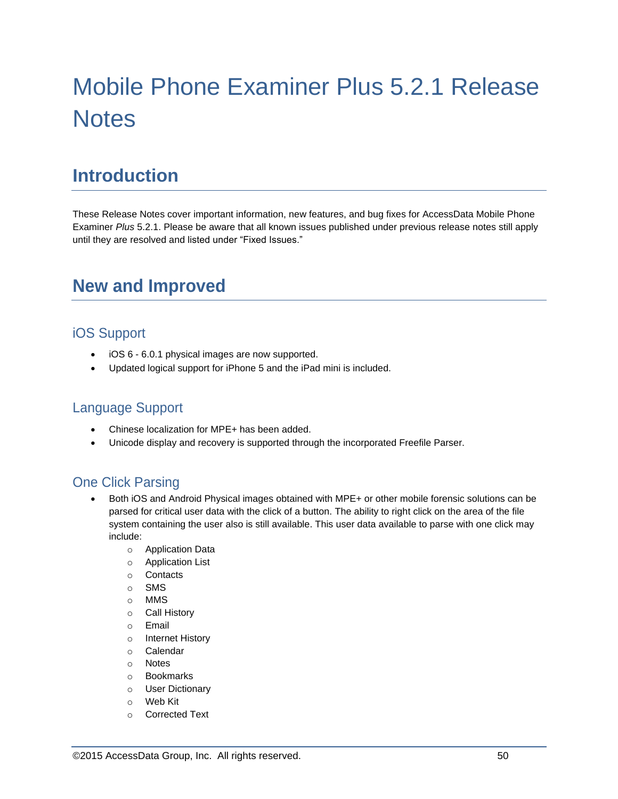# Mobile Phone Examiner Plus 5.2.1 Release **Notes**

# **Introduction**

These Release Notes cover important information, new features, and bug fixes for AccessData Mobile Phone Examiner *Plus* 5.2.1. Please be aware that all known issues published under previous release notes still apply until they are resolved and listed under "Fixed Issues."

# **New and Improved**

## iOS Support

- iOS 6 6.0.1 physical images are now supported.
- Updated logical support for iPhone 5 and the iPad mini is included.

### Language Support

- Chinese localization for MPE+ has been added.
- Unicode display and recovery is supported through the incorporated Freefile Parser.

### One Click Parsing

- Both iOS and Android Physical images obtained with MPE+ or other mobile forensic solutions can be parsed for critical user data with the click of a button. The ability to right click on the area of the file system containing the user also is still available. This user data available to parse with one click may include:
	- o Application Data
	- o Application List
	- o Contacts
	- o SMS
	- o MMS
	- o Call History
	- o Email
	- o Internet History
	- o Calendar
	- o Notes
	- o Bookmarks
	- o User Dictionary
	- o Web Kit
	- o Corrected Text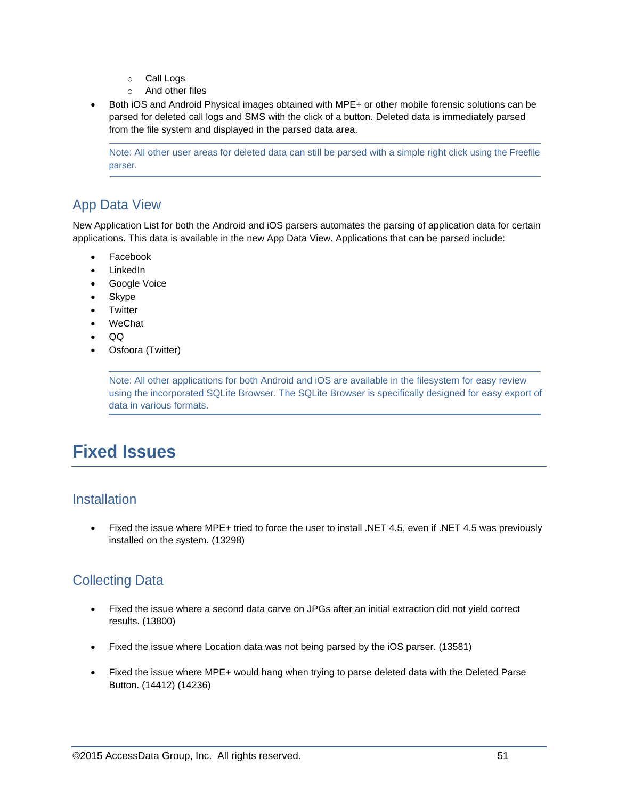- o Call Logs
- o And other files
- Both iOS and Android Physical images obtained with MPE+ or other mobile forensic solutions can be parsed for deleted call logs and SMS with the click of a button. Deleted data is immediately parsed from the file system and displayed in the parsed data area.

Note: All other user areas for deleted data can still be parsed with a simple right click using the Freefile parser.

# App Data View

New Application List for both the Android and iOS parsers automates the parsing of application data for certain applications. This data is available in the new App Data View. Applications that can be parsed include:

- Facebook
- LinkedIn
- Google Voice
- Skype
- Twitter
- WeChat
- QQ
- Osfoora (Twitter)

Note: All other applications for both Android and iOS are available in the filesystem for easy review using the incorporated SQLite Browser. The SQLite Browser is specifically designed for easy export of data in various formats.

# **Fixed Issues**

### **Installation**

 Fixed the issue where MPE+ tried to force the user to install .NET 4.5, even if .NET 4.5 was previously installed on the system. (13298)

## Collecting Data

- Fixed the issue where a second data carve on JPGs after an initial extraction did not yield correct results. (13800)
- Fixed the issue where Location data was not being parsed by the iOS parser. (13581)
- Fixed the issue where MPE+ would hang when trying to parse deleted data with the Deleted Parse Button. (14412) (14236)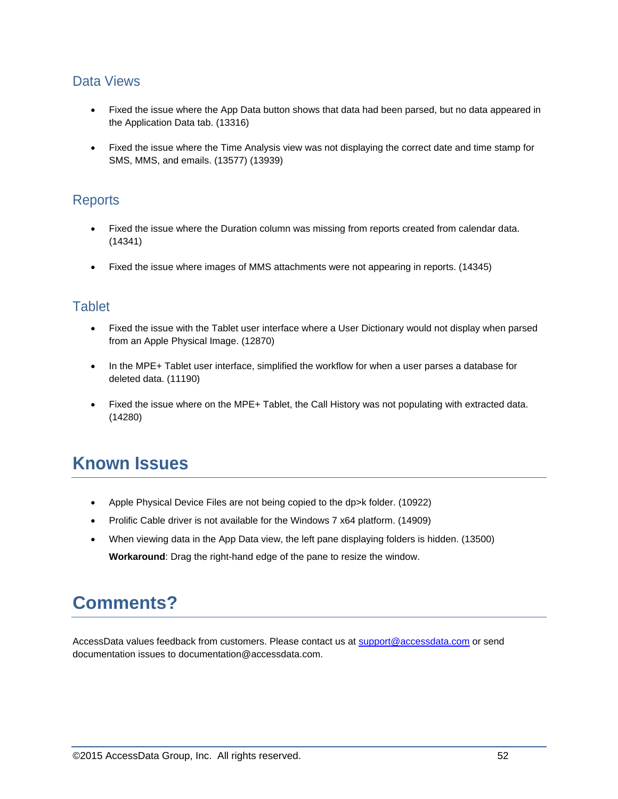### Data Views

- Fixed the issue where the App Data button shows that data had been parsed, but no data appeared in the Application Data tab. (13316)
- Fixed the issue where the Time Analysis view was not displaying the correct date and time stamp for SMS, MMS, and emails. (13577) (13939)

### **Reports**

- Fixed the issue where the Duration column was missing from reports created from calendar data. (14341)
- Fixed the issue where images of MMS attachments were not appearing in reports. (14345)

### **Tablet**

- Fixed the issue with the Tablet user interface where a User Dictionary would not display when parsed from an Apple Physical Image. (12870)
- In the MPE+ Tablet user interface, simplified the workflow for when a user parses a database for deleted data. (11190)
- Fixed the issue where on the MPE+ Tablet, the Call History was not populating with extracted data. (14280)

# **Known Issues**

- Apple Physical Device Files are not being copied to the dp>k folder. (10922)
- Prolific Cable driver is not available for the Windows 7 x64 platform. (14909)
- When viewing data in the App Data view, the left pane displaying folders is hidden. (13500) **Workaround**: Drag the right-hand edge of the pane to resize the window.

# **Comments?**

AccessData values feedback from customers. Please contact us at [support@accessdata.com](mailto:support@accessdata.com) or send documentation issues to documentation@accessdata.com.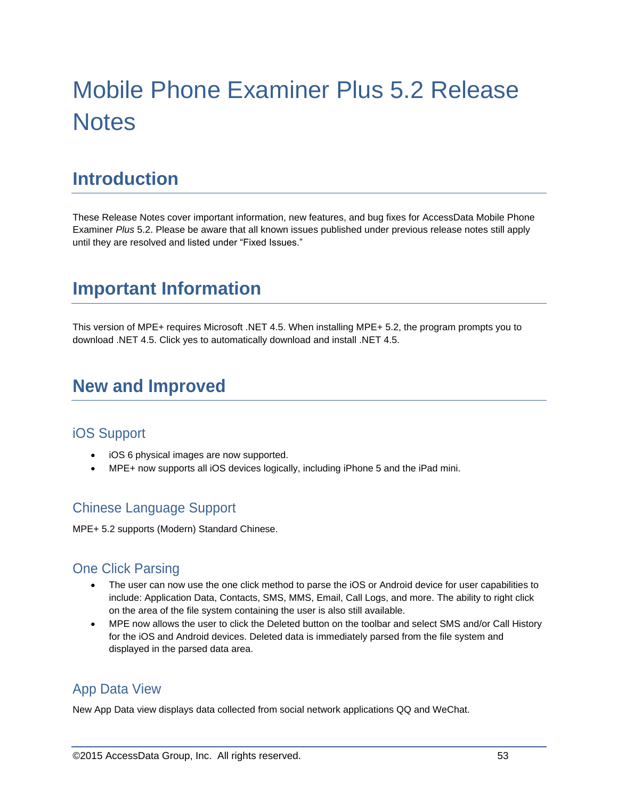# Mobile Phone Examiner Plus 5.2 Release **Notes**

# **Introduction**

These Release Notes cover important information, new features, and bug fixes for AccessData Mobile Phone Examiner *Plus* 5.2. Please be aware that all known issues published under previous release notes still apply until they are resolved and listed under "Fixed Issues."

# **Important Information**

This version of MPE+ requires Microsoft .NET 4.5. When installing MPE+ 5.2, the program prompts you to download .NET 4.5. Click yes to automatically download and install .NET 4.5.

# **New and Improved**

### iOS Support

- iOS 6 physical images are now supported.
- MPE+ now supports all iOS devices logically, including iPhone 5 and the iPad mini.

### Chinese Language Support

MPE+ 5.2 supports (Modern) Standard Chinese.

### One Click Parsing

- The user can now use the one click method to parse the iOS or Android device for user capabilities to include: Application Data, Contacts, SMS, MMS, Email, Call Logs, and more. The ability to right click on the area of the file system containing the user is also still available.
- MPE now allows the user to click the Deleted button on the toolbar and select SMS and/or Call History for the iOS and Android devices. Deleted data is immediately parsed from the file system and displayed in the parsed data area.

## App Data View

New App Data view displays data collected from social network applications QQ and WeChat.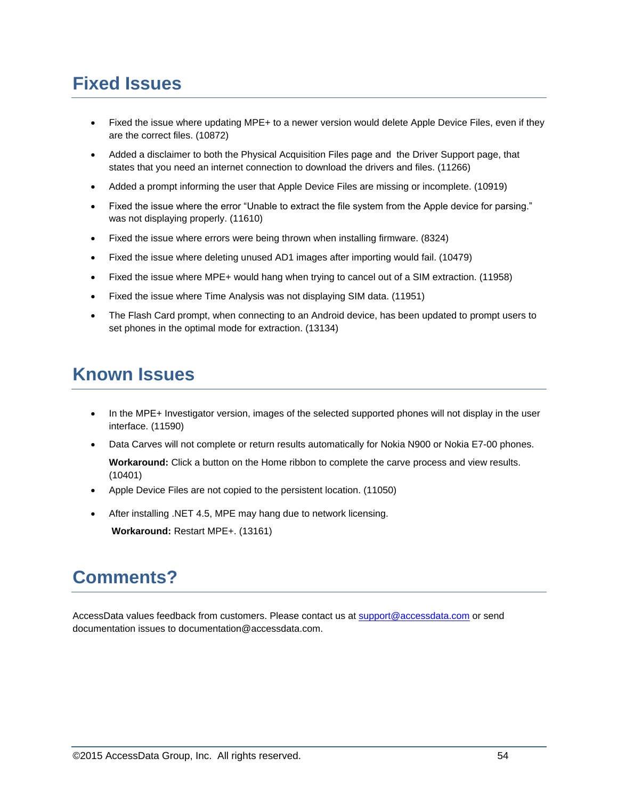# **Fixed Issues**

- Fixed the issue where updating MPE+ to a newer version would delete Apple Device Files, even if they are the correct files. (10872)
- Added a disclaimer to both the Physical Acquisition Files page and the Driver Support page, that states that you need an internet connection to download the drivers and files. (11266)
- Added a prompt informing the user that Apple Device Files are missing or incomplete. (10919)
- Fixed the issue where the error "Unable to extract the file system from the Apple device for parsing." was not displaying properly. (11610)
- Fixed the issue where errors were being thrown when installing firmware. (8324)
- Fixed the issue where deleting unused AD1 images after importing would fail. (10479)
- Fixed the issue where MPE+ would hang when trying to cancel out of a SIM extraction. (11958)
- Fixed the issue where Time Analysis was not displaying SIM data. (11951)
- The Flash Card prompt, when connecting to an Android device, has been updated to prompt users to set phones in the optimal mode for extraction. (13134)

# **Known Issues**

- In the MPE+ Investigator version, images of the selected supported phones will not display in the user interface. (11590)
- Data Carves will not complete or return results automatically for Nokia N900 or Nokia E7-00 phones. **Workaround:** Click a button on the Home ribbon to complete the carve process and view results. (10401)
- Apple Device Files are not copied to the persistent location. (11050)
- After installing .NET 4.5, MPE may hang due to network licensing.

**Workaround:** Restart MPE+. (13161)

# **Comments?**

AccessData values feedback from customers. Please contact us at [support@accessdata.com](mailto:support@accessdata.com) or send documentation issues to documentation@accessdata.com.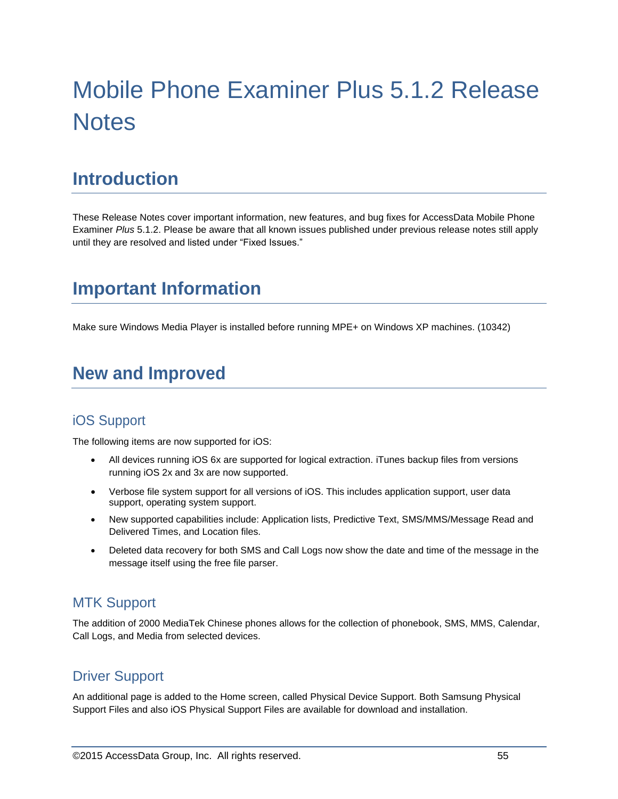# Mobile Phone Examiner Plus 5.1.2 Release **Notes**

# **Introduction**

These Release Notes cover important information, new features, and bug fixes for AccessData Mobile Phone Examiner *Plus* 5.1.2. Please be aware that all known issues published under previous release notes still apply until they are resolved and listed under "Fixed Issues."

# **Important Information**

Make sure Windows Media Player is installed before running MPE+ on Windows XP machines. (10342)

# **New and Improved**

## iOS Support

The following items are now supported for iOS:

- All devices running iOS 6x are supported for logical extraction. iTunes backup files from versions running iOS 2x and 3x are now supported.
- Verbose file system support for all versions of iOS. This includes application support, user data support, operating system support.
- New supported capabilities include: Application lists, Predictive Text, SMS/MMS/Message Read and Delivered Times, and Location files.
- Deleted data recovery for both SMS and Call Logs now show the date and time of the message in the message itself using the free file parser.

## MTK Support

The addition of 2000 MediaTek Chinese phones allows for the collection of phonebook, SMS, MMS, Calendar, Call Logs, and Media from selected devices.

### Driver Support

An additional page is added to the Home screen, called Physical Device Support. Both Samsung Physical Support Files and also iOS Physical Support Files are available for download and installation.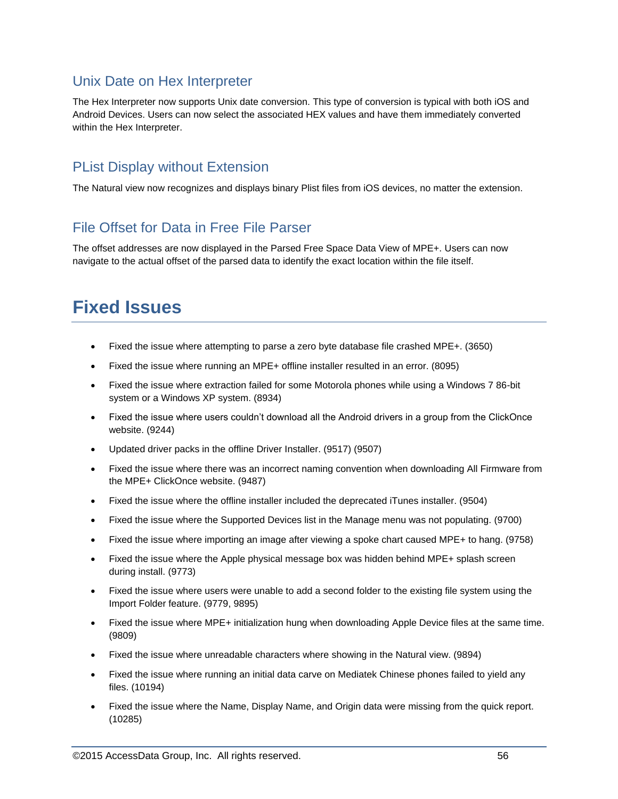### Unix Date on Hex Interpreter

The Hex Interpreter now supports Unix date conversion. This type of conversion is typical with both iOS and Android Devices. Users can now select the associated HEX values and have them immediately converted within the Hex Interpreter.

## PList Display without Extension

The Natural view now recognizes and displays binary Plist files from iOS devices, no matter the extension.

### File Offset for Data in Free File Parser

The offset addresses are now displayed in the Parsed Free Space Data View of MPE+. Users can now navigate to the actual offset of the parsed data to identify the exact location within the file itself.

# **Fixed Issues**

- Fixed the issue where attempting to parse a zero byte database file crashed MPE+. (3650)
- Fixed the issue where running an MPE+ offline installer resulted in an error. (8095)
- Fixed the issue where extraction failed for some Motorola phones while using a Windows 7 86-bit system or a Windows XP system. (8934)
- Fixed the issue where users couldn't download all the Android drivers in a group from the ClickOnce website. (9244)
- Updated driver packs in the offline Driver Installer. (9517) (9507)
- Fixed the issue where there was an incorrect naming convention when downloading All Firmware from the MPE+ ClickOnce website. (9487)
- Fixed the issue where the offline installer included the deprecated iTunes installer. (9504)
- Fixed the issue where the Supported Devices list in the Manage menu was not populating. (9700)
- Fixed the issue where importing an image after viewing a spoke chart caused MPE+ to hang. (9758)
- Fixed the issue where the Apple physical message box was hidden behind MPE+ splash screen during install. (9773)
- Fixed the issue where users were unable to add a second folder to the existing file system using the Import Folder feature. (9779, 9895)
- Fixed the issue where MPE+ initialization hung when downloading Apple Device files at the same time. (9809)
- Fixed the issue where unreadable characters where showing in the Natural view. (9894)
- Fixed the issue where running an initial data carve on Mediatek Chinese phones failed to yield any files. (10194)
- Fixed the issue where the Name, Display Name, and Origin data were missing from the quick report. (10285)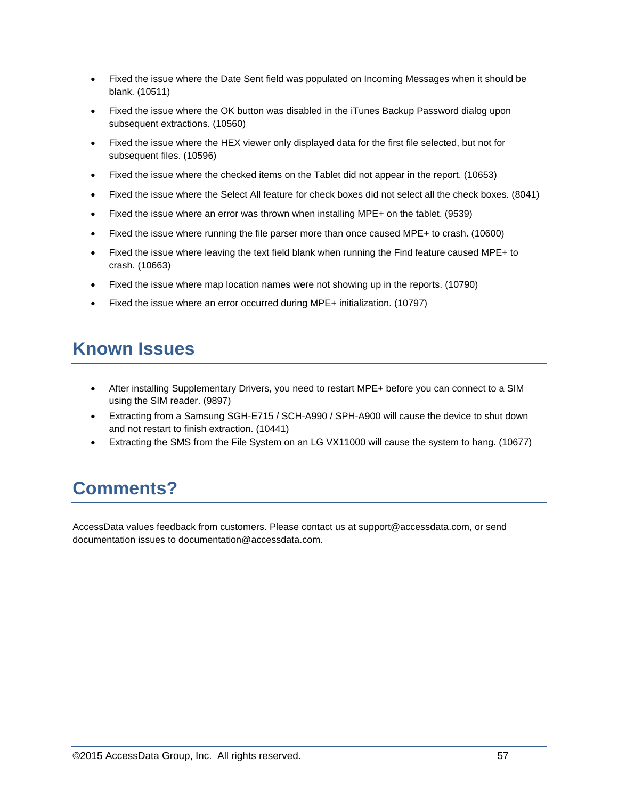- Fixed the issue where the Date Sent field was populated on Incoming Messages when it should be blank. (10511)
- Fixed the issue where the OK button was disabled in the iTunes Backup Password dialog upon subsequent extractions. (10560)
- Fixed the issue where the HEX viewer only displayed data for the first file selected, but not for subsequent files. (10596)
- Fixed the issue where the checked items on the Tablet did not appear in the report. (10653)
- Fixed the issue where the Select All feature for check boxes did not select all the check boxes. (8041)
- Fixed the issue where an error was thrown when installing MPE+ on the tablet. (9539)
- Fixed the issue where running the file parser more than once caused MPE+ to crash. (10600)
- Fixed the issue where leaving the text field blank when running the Find feature caused MPE+ to crash. (10663)
- Fixed the issue where map location names were not showing up in the reports. (10790)
- Fixed the issue where an error occurred during MPE+ initialization. (10797)

# **Known Issues**

- After installing Supplementary Drivers, you need to restart MPE+ before you can connect to a SIM using the SIM reader. (9897)
- Extracting from a Samsung SGH-E715 / SCH-A990 / SPH-A900 will cause the device to shut down and not restart to finish extraction. (10441)
- Extracting the SMS from the File System on an LG VX11000 will cause the system to hang. (10677)

# **Comments?**

AccessData values feedback from customers. Please contact us at support@accessdata.com, or send documentation issues to documentation@accessdata.com.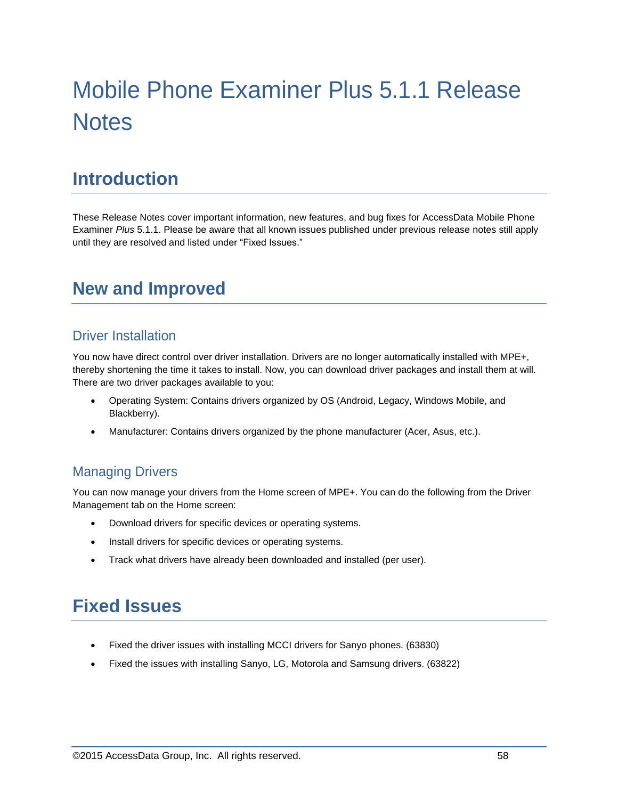# Mobile Phone Examiner Plus 5.1.1 Release **Notes**

# **Introduction**

These Release Notes cover important information, new features, and bug fixes for AccessData Mobile Phone Examiner *Plus* 5.1.1. Please be aware that all known issues published under previous release notes still apply until they are resolved and listed under "Fixed Issues."

# **New and Improved**

### Driver Installation

You now have direct control over driver installation. Drivers are no longer automatically installed with MPE+, thereby shortening the time it takes to install. Now, you can download driver packages and install them at will. There are two driver packages available to you:

- Operating System: Contains drivers organized by OS (Android, Legacy, Windows Mobile, and Blackberry).
- Manufacturer: Contains drivers organized by the phone manufacturer (Acer, Asus, etc.).

## Managing Drivers

You can now manage your drivers from the Home screen of MPE+. You can do the following from the Driver Management tab on the Home screen:

- Download drivers for specific devices or operating systems.
- Install drivers for specific devices or operating systems.
- Track what drivers have already been downloaded and installed (per user).

# **Fixed Issues**

- Fixed the driver issues with installing MCCI drivers for Sanyo phones. (63830)
- Fixed the issues with installing Sanyo, LG, Motorola and Samsung drivers. (63822)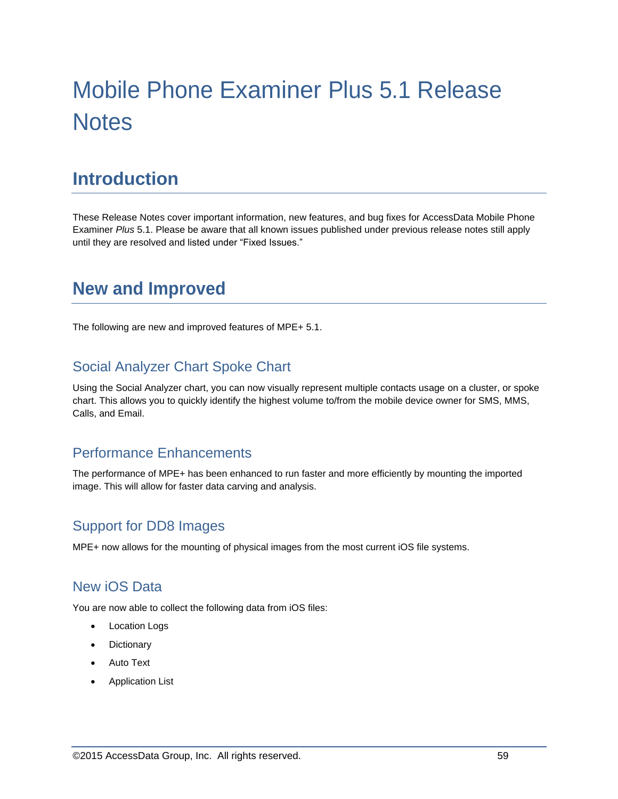# Mobile Phone Examiner Plus 5.1 Release **Notes**

# **Introduction**

These Release Notes cover important information, new features, and bug fixes for AccessData Mobile Phone Examiner *Plus* 5.1. Please be aware that all known issues published under previous release notes still apply until they are resolved and listed under "Fixed Issues."

# **New and Improved**

The following are new and improved features of MPE+ 5.1.

## Social Analyzer Chart Spoke Chart

Using the Social Analyzer chart, you can now visually represent multiple contacts usage on a cluster, or spoke chart. This allows you to quickly identify the highest volume to/from the mobile device owner for SMS, MMS, Calls, and Email.

## Performance Enhancements

The performance of MPE+ has been enhanced to run faster and more efficiently by mounting the imported image. This will allow for faster data carving and analysis.

### Support for DD8 Images

MPE+ now allows for the mounting of physical images from the most current iOS file systems.

### New iOS Data

You are now able to collect the following data from iOS files:

- Location Logs
- **Dictionary**
- Auto Text
- Application List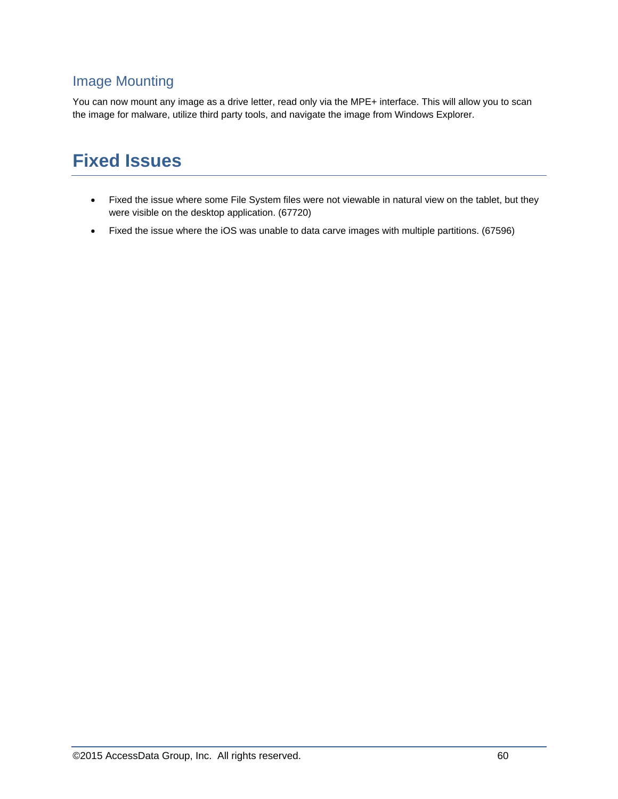# Image Mounting

You can now mount any image as a drive letter, read only via the MPE+ interface. This will allow you to scan the image for malware, utilize third party tools, and navigate the image from Windows Explorer.

# **Fixed Issues**

- Fixed the issue where some File System files were not viewable in natural view on the tablet, but they were visible on the desktop application. (67720)
- Fixed the issue where the iOS was unable to data carve images with multiple partitions. (67596)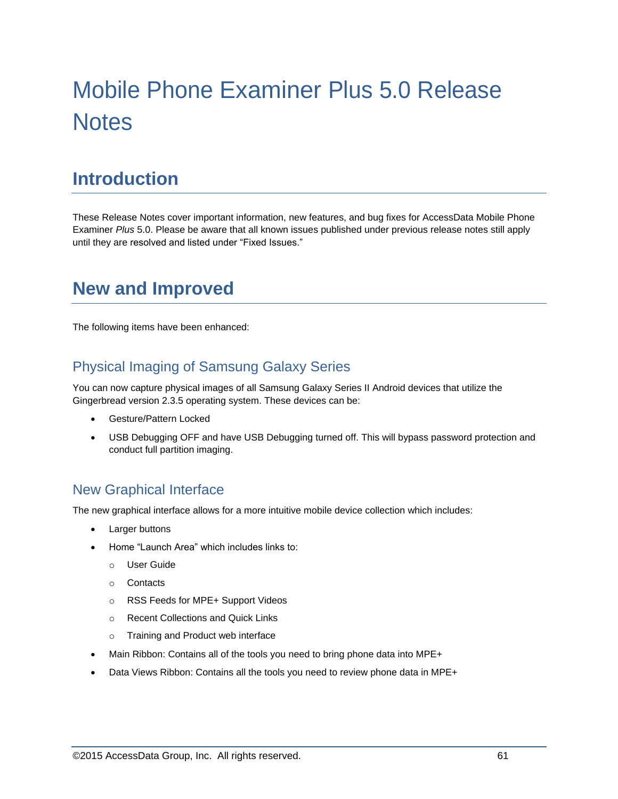# Mobile Phone Examiner Plus 5.0 Release **Notes**

# **Introduction**

These Release Notes cover important information, new features, and bug fixes for AccessData Mobile Phone Examiner *Plus* 5.0. Please be aware that all known issues published under previous release notes still apply until they are resolved and listed under "Fixed Issues."

# **New and Improved**

The following items have been enhanced:

## Physical Imaging of Samsung Galaxy Series

You can now capture physical images of all Samsung Galaxy Series II Android devices that utilize the Gingerbread version 2.3.5 operating system. These devices can be:

- Gesture/Pattern Locked
- USB Debugging OFF and have USB Debugging turned off. This will bypass password protection and conduct full partition imaging.

### New Graphical Interface

The new graphical interface allows for a more intuitive mobile device collection which includes:

- Larger buttons
- Home "Launch Area" which includes links to:
	- o User Guide
	- o Contacts
	- o RSS Feeds for MPE+ Support Videos
	- o Recent Collections and Quick Links
	- o Training and Product web interface
- Main Ribbon: Contains all of the tools you need to bring phone data into MPE+
- Data Views Ribbon: Contains all the tools you need to review phone data in MPE+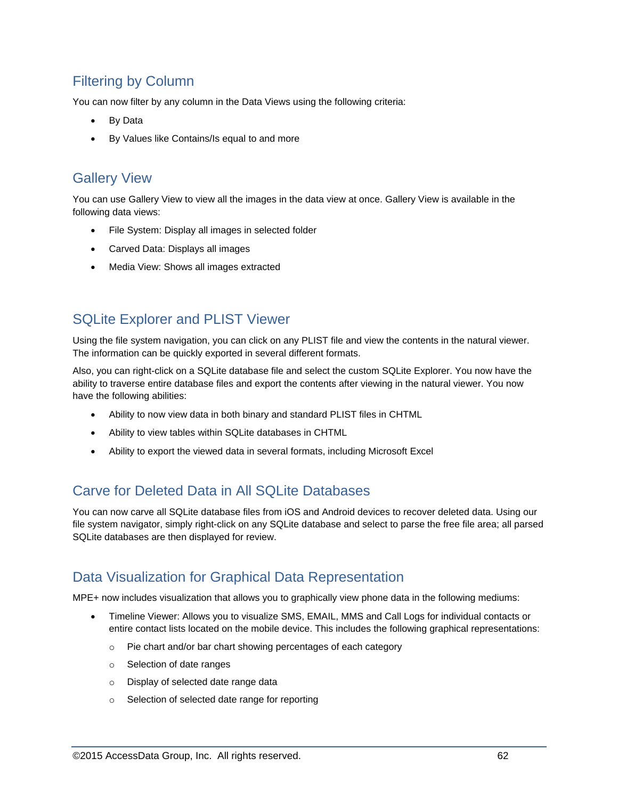# Filtering by Column

You can now filter by any column in the Data Views using the following criteria:

- By Data
- By Values like Contains/Is equal to and more

### Gallery View

You can use Gallery View to view all the images in the data view at once. Gallery View is available in the following data views:

- File System: Display all images in selected folder
- Carved Data: Displays all images
- Media View: Shows all images extracted

## SQLite Explorer and PLIST Viewer

Using the file system navigation, you can click on any PLIST file and view the contents in the natural viewer. The information can be quickly exported in several different formats.

Also, you can right-click on a SQLite database file and select the custom SQLite Explorer. You now have the ability to traverse entire database files and export the contents after viewing in the natural viewer. You now have the following abilities:

- Ability to now view data in both binary and standard PLIST files in CHTML
- Ability to view tables within SQLite databases in CHTML
- Ability to export the viewed data in several formats, including Microsoft Excel

# Carve for Deleted Data in All SQLite Databases

You can now carve all SQLite database files from iOS and Android devices to recover deleted data. Using our file system navigator, simply right-click on any SQLite database and select to parse the free file area; all parsed SQLite databases are then displayed for review.

### Data Visualization for Graphical Data Representation

MPE+ now includes visualization that allows you to graphically view phone data in the following mediums:

- Timeline Viewer: Allows you to visualize SMS, EMAIL, MMS and Call Logs for individual contacts or entire contact lists located on the mobile device. This includes the following graphical representations:
	- o Pie chart and/or bar chart showing percentages of each category
	- o Selection of date ranges
	- o Display of selected date range data
	- o Selection of selected date range for reporting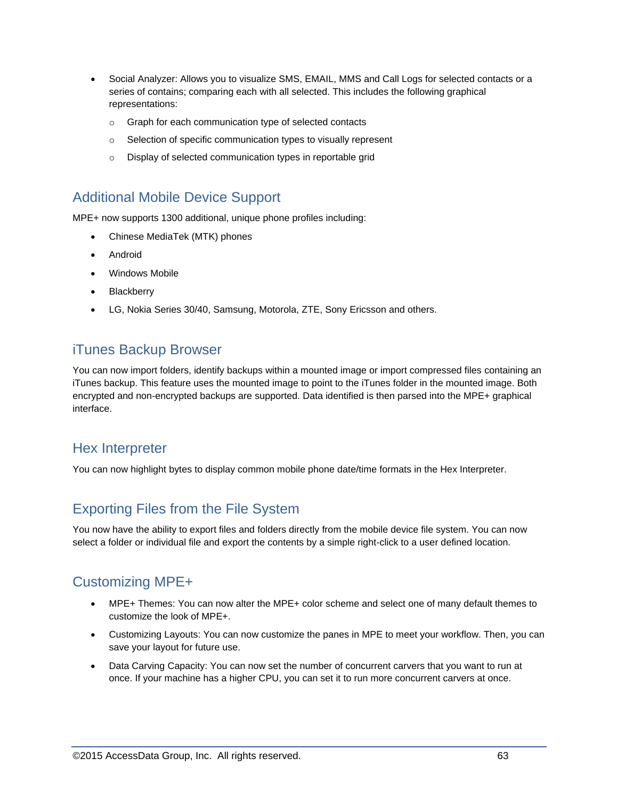- Social Analyzer: Allows you to visualize SMS, EMAIL, MMS and Call Logs for selected contacts or a series of contains; comparing each with all selected. This includes the following graphical representations:
	- o Graph for each communication type of selected contacts
	- o Selection of specific communication types to visually represent
	- o Display of selected communication types in reportable grid

### Additional Mobile Device Support

MPE+ now supports 1300 additional, unique phone profiles including:

- Chinese MediaTek (MTK) phones
- Android
- Windows Mobile
- Blackberry
- LG, Nokia Series 30/40, Samsung, Motorola, ZTE, Sony Ericsson and others.

## iTunes Backup Browser

You can now import folders, identify backups within a mounted image or import compressed files containing an iTunes backup. This feature uses the mounted image to point to the iTunes folder in the mounted image. Both encrypted and non-encrypted backups are supported. Data identified is then parsed into the MPE+ graphical interface.

### Hex Interpreter

You can now highlight bytes to display common mobile phone date/time formats in the Hex Interpreter.

# Exporting Files from the File System

You now have the ability to export files and folders directly from the mobile device file system. You can now select a folder or individual file and export the contents by a simple right-click to a user defined location.

## Customizing MPE+

- MPE+ Themes: You can now alter the MPE+ color scheme and select one of many default themes to customize the look of MPE+.
- Customizing Layouts: You can now customize the panes in MPE to meet your workflow. Then, you can save your layout for future use.
- Data Carving Capacity: You can now set the number of concurrent carvers that you want to run at once. If your machine has a higher CPU, you can set it to run more concurrent carvers at once.